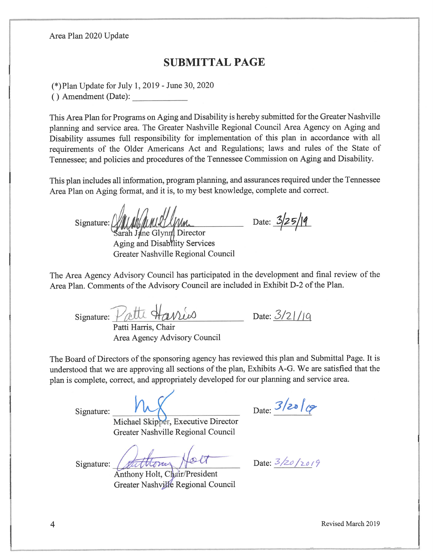Area Plan 2020 Update

## **SUBMITTAL PAGE**

(\*) Plan Update for July 1, 2019 - June 30, 2020

() Amendment (Date):

This Area Plan for Programs on Aging and Disability is hereby submitted for the Greater Nashville planning and service area. The Greater Nashville Regional Council Area Agency on Aging and Disability assumes full responsibility for implementation of this plan in accordance with all requirements of the Older Americans Act and Regulations; laws and rules of the State of Tennessee; and policies and procedures of the Tennessee Commission on Aging and Disability.

This plan includes all information, program planning, and assurances required under the Tennessee Area Plan on Aging format, and it is, to my best knowledge, complete and correct.

 $Sipnature: /$ arah Jane Glynn Director

Aging and Disability Services Greater Nashville Regional Council

Date:  $3/25/19$ 

The Area Agency Advisory Council has participated in the development and final review of the Area Plan. Comments of the Advisory Council are included in Exhibit D-2 of the Plan.

signature: *Vatti* 

Patti Harris, Chair Area Agency Advisory Council

Date:  $3/21/19$ 

The Board of Directors of the sponsoring agency has reviewed this plan and Submittal Page. It is understood that we are approving all sections of the plan, Exhibits A-G. We are satisfied that the plan is complete, correct, and appropriately developed for our planning and service area.

Signature:

Date:  $3/20$   $9$ 

Michael Skipper, Executive Director Greater Nashville Regional Council

Signature:

Anthony Holt, Chair/President Greater Nashville Regional Council

Date:  $3/20/2019$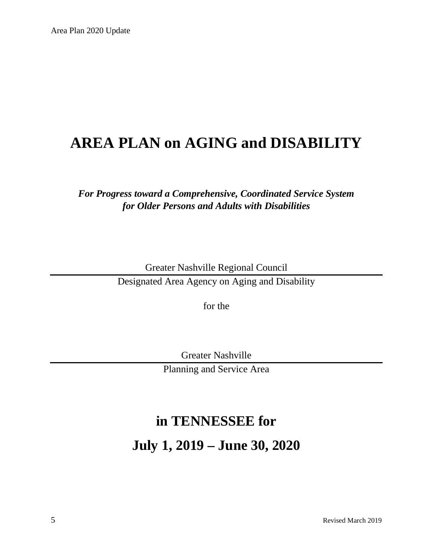# **AREA PLAN on AGING and DISABILITY**

## *For Progress toward a Comprehensive, Coordinated Service System for Older Persons and Adults with Disabilities*

Greater Nashville Regional Council Designated Area Agency on Aging and Disability

for the

Greater Nashville

Planning and Service Area

# **in TENNESSEE for**

**July 1, 2019 – June 30, 2020**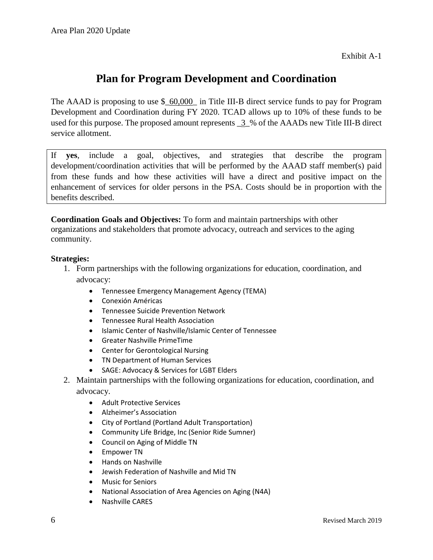Exhibit A-1

## **Plan for Program Development and Coordination**

The AAAD is proposing to use \$  $60,000$  in Title III-B direct service funds to pay for Program Development and Coordination during FY 2020. TCAD allows up to 10% of these funds to be used for this purpose. The proposed amount represents \_3\_% of the AAADs new Title III-B direct service allotment.

If **yes**, include a goal, objectives, and strategies that describe the program development/coordination activities that will be performed by the AAAD staff member(s) paid from these funds and how these activities will have a direct and positive impact on the enhancement of services for older persons in the PSA. Costs should be in proportion with the benefits described.

**Coordination Goals and Objectives:** To form and maintain partnerships with other organizations and stakeholders that promote advocacy, outreach and services to the aging community.

#### **Strategies:**

- 1. Form partnerships with the following organizations for education, coordination, and advocacy:
	- Tennessee Emergency Management Agency (TEMA)
	- Conexión Américas
	- Tennessee Suicide Prevention Network
	- Tennessee Rural Health Association
	- Islamic Center of Nashville/Islamic Center of Tennessee
	- Greater Nashville PrimeTime
	- Center for Gerontological Nursing
	- TN Department of Human Services
	- SAGE: Advocacy & Services for LGBT Elders
- 2. Maintain partnerships with the following organizations for education, coordination, and advocacy.
	- Adult Protective Services
	- Alzheimer's Association
	- City of Portland (Portland Adult Transportation)
	- Community Life Bridge, Inc (Senior Ride Sumner)
	- Council on Aging of Middle TN
	- Empower TN
	- Hands on Nashville
	- Jewish Federation of Nashville and Mid TN
	- Music for Seniors
	- National Association of Area Agencies on Aging (N4A)
	- Nashville CARES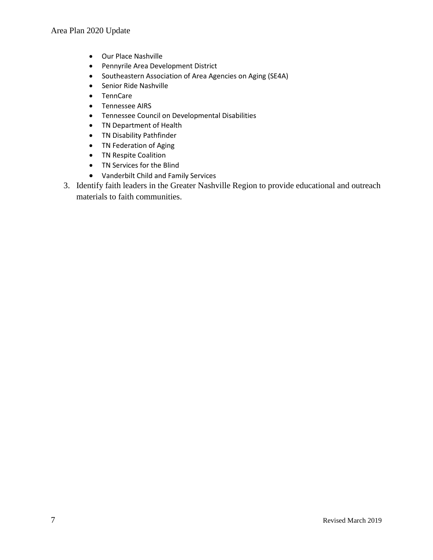- Our Place Nashville
- Pennyrile Area Development District
- Southeastern Association of Area Agencies on Aging (SE4A)
- Senior Ride Nashville
- TennCare
- Tennessee AIRS
- Tennessee Council on Developmental Disabilities
- TN Department of Health
- TN Disability Pathfinder
- TN Federation of Aging
- TN Respite Coalition
- TN Services for the Blind
- Vanderbilt Child and Family Services
- 3. Identify faith leaders in the Greater Nashville Region to provide educational and outreach materials to faith communities.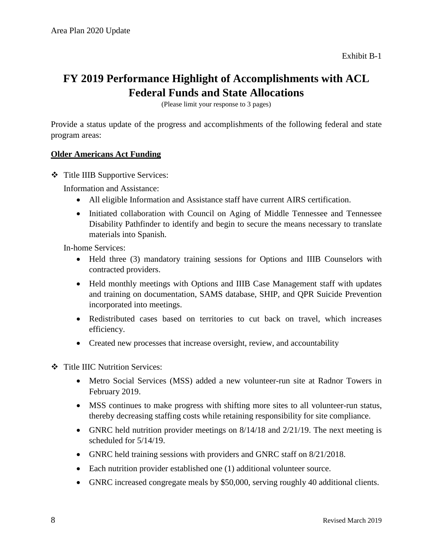# **FY 2019 Performance Highlight of Accomplishments with ACL Federal Funds and State Allocations**

(Please limit your response to 3 pages)

Provide a status update of the progress and accomplishments of the following federal and state program areas:

#### **Older Americans Act Funding**

Title IIIB Supportive Services:

Information and Assistance:

- All eligible Information and Assistance staff have current AIRS certification.
- Initiated collaboration with Council on Aging of Middle Tennessee and Tennessee Disability Pathfinder to identify and begin to secure the means necessary to translate materials into Spanish.

In-home Services:

- Held three (3) mandatory training sessions for Options and IIIB Counselors with contracted providers.
- Held monthly meetings with Options and IIIB Case Management staff with updates and training on documentation, SAMS database, SHIP, and QPR Suicide Prevention incorporated into meetings.
- Redistributed cases based on territories to cut back on travel, which increases efficiency.
- Created new processes that increase oversight, review, and accountability
- Title IIIC Nutrition Services:
	- Metro Social Services (MSS) added a new volunteer-run site at Radnor Towers in February 2019.
	- MSS continues to make progress with shifting more sites to all volunteer-run status, thereby decreasing staffing costs while retaining responsibility for site compliance.
	- GNRC held nutrition provider meetings on  $8/14/18$  and  $2/21/19$ . The next meeting is scheduled for 5/14/19.
	- GNRC held training sessions with providers and GNRC staff on 8/21/2018.
	- Each nutrition provider established one (1) additional volunteer source.
	- GNRC increased congregate meals by \$50,000, serving roughly 40 additional clients.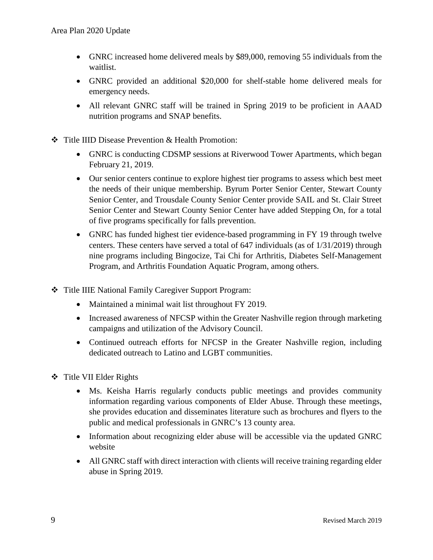- GNRC increased home delivered meals by \$89,000, removing 55 individuals from the waitlist.
- GNRC provided an additional \$20,000 for shelf-stable home delivered meals for emergency needs.
- All relevant GNRC staff will be trained in Spring 2019 to be proficient in AAAD nutrition programs and SNAP benefits.
- Title IIID Disease Prevention & Health Promotion:
	- GNRC is conducting CDSMP sessions at Riverwood Tower Apartments, which began February 21, 2019.
	- Our senior centers continue to explore highest tier programs to assess which best meet the needs of their unique membership. Byrum Porter Senior Center, Stewart County Senior Center, and Trousdale County Senior Center provide SAIL and St. Clair Street Senior Center and Stewart County Senior Center have added Stepping On, for a total of five programs specifically for falls prevention.
	- GNRC has funded highest tier evidence-based programming in FY 19 through twelve centers. These centers have served a total of 647 individuals (as of 1/31/2019) through nine programs including Bingocize, Tai Chi for Arthritis, Diabetes Self-Management Program, and Arthritis Foundation Aquatic Program, among others.
- Title IIIE National Family Caregiver Support Program:
	- Maintained a minimal wait list throughout FY 2019.
	- Increased awareness of NFCSP within the Greater Nashville region through marketing campaigns and utilization of the Advisory Council.
	- Continued outreach efforts for NFCSP in the Greater Nashville region, including dedicated outreach to Latino and LGBT communities.
- ❖ Title VII Elder Rights
	- Ms. Keisha Harris regularly conducts public meetings and provides community information regarding various components of Elder Abuse. Through these meetings, she provides education and disseminates literature such as brochures and flyers to the public and medical professionals in GNRC's 13 county area.
	- Information about recognizing elder abuse will be accessible via the updated GNRC website
	- All GNRC staff with direct interaction with clients will receive training regarding elder abuse in Spring 2019.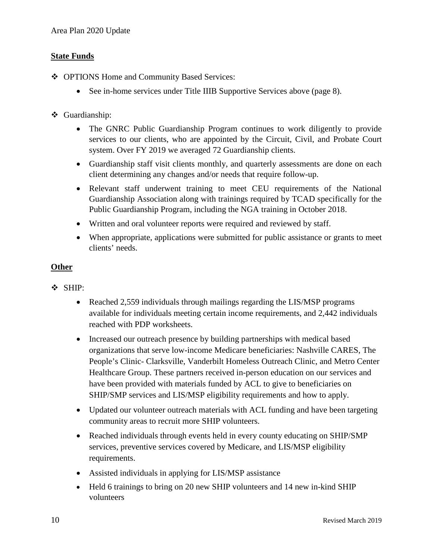#### **State Funds**

- ◆ OPTIONS Home and Community Based Services:
	- See in-home services under Title IIIB Supportive Services above (page 8).
- Guardianship:
	- The GNRC Public Guardianship Program continues to work diligently to provide services to our clients, who are appointed by the Circuit, Civil, and Probate Court system. Over FY 2019 we averaged 72 Guardianship clients.
	- Guardianship staff visit clients monthly, and quarterly assessments are done on each client determining any changes and/or needs that require follow-up.
	- Relevant staff underwent training to meet CEU requirements of the National Guardianship Association along with trainings required by TCAD specifically for the Public Guardianship Program, including the NGA training in October 2018.
	- Written and oral volunteer reports were required and reviewed by staff.
	- When appropriate, applications were submitted for public assistance or grants to meet clients' needs.

#### **Other**

- SHIP:
	- Reached 2,559 individuals through mailings regarding the LIS/MSP programs available for individuals meeting certain income requirements, and 2,442 individuals reached with PDP worksheets.
	- Increased our outreach presence by building partnerships with medical based organizations that serve low-income Medicare beneficiaries: Nashville CARES, The People's Clinic- Clarksville, Vanderbilt Homeless Outreach Clinic, and Metro Center Healthcare Group. These partners received in-person education on our services and have been provided with materials funded by ACL to give to beneficiaries on SHIP/SMP services and LIS/MSP eligibility requirements and how to apply.
	- Updated our volunteer outreach materials with ACL funding and have been targeting community areas to recruit more SHIP volunteers.
	- Reached individuals through events held in every county educating on SHIP/SMP services, preventive services covered by Medicare, and LIS/MSP eligibility requirements.
	- Assisted individuals in applying for LIS/MSP assistance
	- Held 6 trainings to bring on 20 new SHIP volunteers and 14 new in-kind SHIP volunteers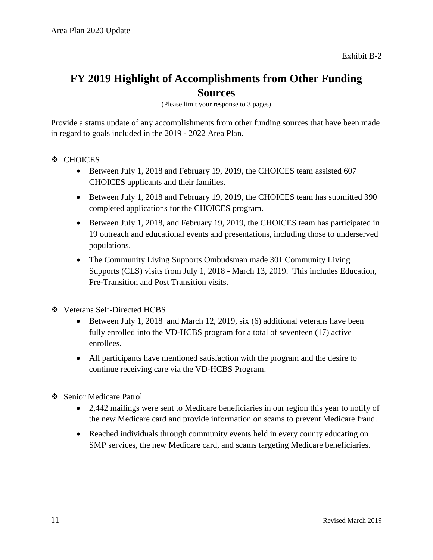## **FY 2019 Highlight of Accomplishments from Other Funding Sources**

(Please limit your response to 3 pages)

Provide a status update of any accomplishments from other funding sources that have been made in regard to goals included in the 2019 - 2022 Area Plan.

- CHOICES
	- Between July 1, 2018 and February 19, 2019, the CHOICES team assisted 607 CHOICES applicants and their families.
	- Between July 1, 2018 and February 19, 2019, the CHOICES team has submitted 390 completed applications for the CHOICES program.
	- Between July 1, 2018, and February 19, 2019, the CHOICES team has participated in 19 outreach and educational events and presentations, including those to underserved populations.
	- The Community Living Supports Ombudsman made 301 Community Living Supports (CLS) visits from July 1, 2018 - March 13, 2019. This includes Education, Pre-Transition and Post Transition visits.
- Veterans Self-Directed HCBS
	- Between July 1, 2018 and March 12, 2019, six (6) additional veterans have been fully enrolled into the VD-HCBS program for a total of seventeen (17) active enrollees.
	- All participants have mentioned satisfaction with the program and the desire to continue receiving care via the VD-HCBS Program.
- ❖ Senior Medicare Patrol
	- 2,442 mailings were sent to Medicare beneficiaries in our region this year to notify of the new Medicare card and provide information on scams to prevent Medicare fraud.
	- Reached individuals through community events held in every county educating on SMP services, the new Medicare card, and scams targeting Medicare beneficiaries.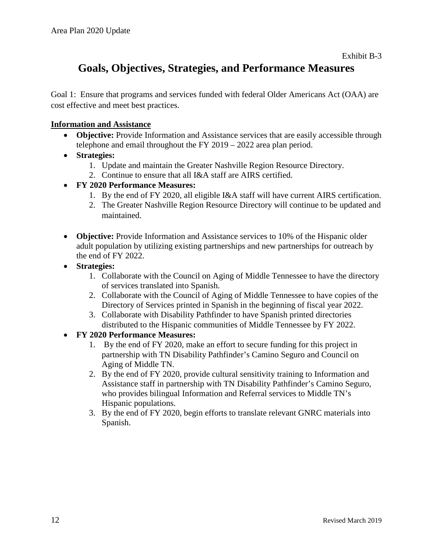# **Goals, Objectives, Strategies, and Performance Measures**

Goal 1: Ensure that programs and services funded with federal Older Americans Act (OAA) are cost effective and meet best practices.

#### **Information and Assistance**

- **Objective:** Provide Information and Assistance services that are easily accessible through telephone and email throughout the FY 2019 – 2022 area plan period.
- **Strategies:**
	- 1. Update and maintain the Greater Nashville Region Resource Directory.
	- 2. Continue to ensure that all I&A staff are AIRS certified.
- **FY 2020 Performance Measures:**
	- 1. By the end of FY 2020, all eligible I&A staff will have current AIRS certification.
	- 2. The Greater Nashville Region Resource Directory will continue to be updated and maintained.
- **Objective:** Provide Information and Assistance services to 10% of the Hispanic older adult population by utilizing existing partnerships and new partnerships for outreach by the end of FY 2022.
- **Strategies:**
	- 1. Collaborate with the Council on Aging of Middle Tennessee to have the directory of services translated into Spanish.
	- 2. Collaborate with the Council of Aging of Middle Tennessee to have copies of the Directory of Services printed in Spanish in the beginning of fiscal year 2022.
	- 3. Collaborate with Disability Pathfinder to have Spanish printed directories distributed to the Hispanic communities of Middle Tennessee by FY 2022.
- **FY 2020 Performance Measures:**
	- 1. By the end of FY 2020, make an effort to secure funding for this project in partnership with TN Disability Pathfinder's Camino Seguro and Council on Aging of Middle TN.
	- 2. By the end of FY 2020, provide cultural sensitivity training to Information and Assistance staff in partnership with TN Disability Pathfinder's Camino Seguro, who provides bilingual Information and Referral services to Middle TN's Hispanic populations.
	- 3. By the end of FY 2020, begin efforts to translate relevant GNRC materials into Spanish.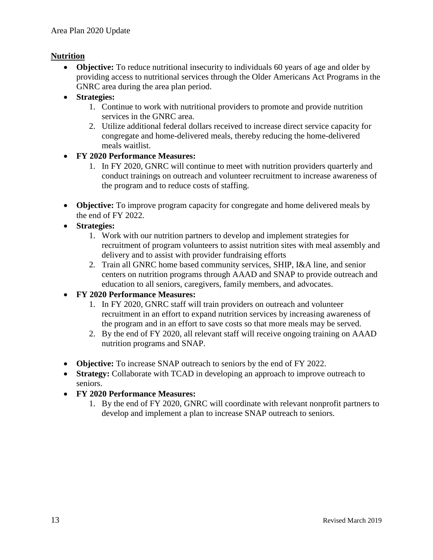#### **Nutrition**

- **Objective:** To reduce nutritional insecurity to individuals 60 years of age and older by providing access to nutritional services through the Older Americans Act Programs in the GNRC area during the area plan period.
- **Strategies:** 
	- 1. Continue to work with nutritional providers to promote and provide nutrition services in the GNRC area.
	- 2. Utilize additional federal dollars received to increase direct service capacity for congregate and home-delivered meals, thereby reducing the home-delivered meals waitlist.

#### • **FY 2020 Performance Measures:**

- 1. In FY 2020, GNRC will continue to meet with nutrition providers quarterly and conduct trainings on outreach and volunteer recruitment to increase awareness of the program and to reduce costs of staffing.
- **Objective:** To improve program capacity for congregate and home delivered meals by the end of FY 2022.
- **Strategies:**
	- 1. Work with our nutrition partners to develop and implement strategies for recruitment of program volunteers to assist nutrition sites with meal assembly and delivery and to assist with provider fundraising efforts
	- 2. Train all GNRC home based community services, SHIP, I&A line, and senior centers on nutrition programs through AAAD and SNAP to provide outreach and education to all seniors, caregivers, family members, and advocates.

#### • **FY 2020 Performance Measures:**

- 1. In FY 2020, GNRC staff will train providers on outreach and volunteer recruitment in an effort to expand nutrition services by increasing awareness of the program and in an effort to save costs so that more meals may be served.
- 2. By the end of FY 2020, all relevant staff will receive ongoing training on AAAD nutrition programs and SNAP.
- **Objective:** To increase SNAP outreach to seniors by the end of FY 2022.
- **Strategy:** Collaborate with TCAD in developing an approach to improve outreach to seniors.
- **FY 2020 Performance Measures:**
	- 1. By the end of FY 2020, GNRC will coordinate with relevant nonprofit partners to develop and implement a plan to increase SNAP outreach to seniors.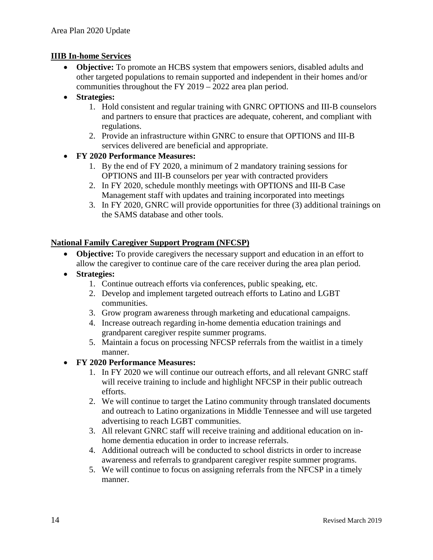#### **IIIB In-home Services**

• **Objective:** To promote an HCBS system that empowers seniors, disabled adults and other targeted populations to remain supported and independent in their homes and/or communities throughout the FY 2019 – 2022 area plan period.

#### • **Strategies:**

- 1. Hold consistent and regular training with GNRC OPTIONS and III-B counselors and partners to ensure that practices are adequate, coherent, and compliant with regulations.
- 2. Provide an infrastructure within GNRC to ensure that OPTIONS and III-B services delivered are beneficial and appropriate.

#### • **FY 2020 Performance Measures:**

- 1. By the end of FY 2020, a minimum of 2 mandatory training sessions for OPTIONS and III-B counselors per year with contracted providers
- 2. In FY 2020, schedule monthly meetings with OPTIONS and III-B Case Management staff with updates and training incorporated into meetings
- 3. In FY 2020, GNRC will provide opportunities for three (3) additional trainings on the SAMS database and other tools.

#### **National Family Caregiver Support Program (NFCSP)**

- **Objective:** To provide caregivers the necessary support and education in an effort to allow the caregiver to continue care of the care receiver during the area plan period.
- **Strategies:** 
	- 1. Continue outreach efforts via conferences, public speaking, etc.
	- 2. Develop and implement targeted outreach efforts to Latino and LGBT communities.
	- 3. Grow program awareness through marketing and educational campaigns.
	- 4. Increase outreach regarding in-home dementia education trainings and grandparent caregiver respite summer programs.
	- 5. Maintain a focus on processing NFCSP referrals from the waitlist in a timely manner.
- **FY 2020 Performance Measures:**
	- 1. In FY 2020 we will continue our outreach efforts, and all relevant GNRC staff will receive training to include and highlight NFCSP in their public outreach efforts.
	- 2. We will continue to target the Latino community through translated documents and outreach to Latino organizations in Middle Tennessee and will use targeted advertising to reach LGBT communities.
	- 3. All relevant GNRC staff will receive training and additional education on inhome dementia education in order to increase referrals.
	- 4. Additional outreach will be conducted to school districts in order to increase awareness and referrals to grandparent caregiver respite summer programs.
	- 5. We will continue to focus on assigning referrals from the NFCSP in a timely manner.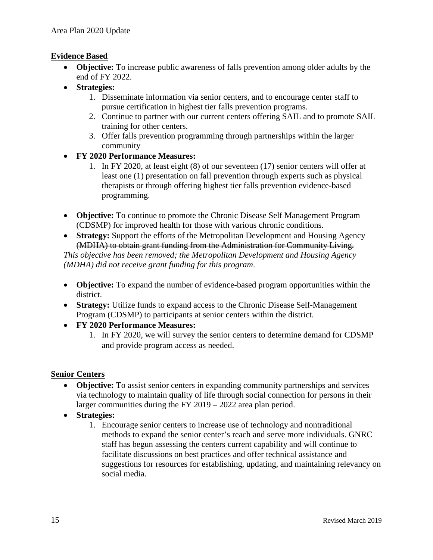#### **Evidence Based**

- **Objective:** To increase public awareness of falls prevention among older adults by the end of FY 2022.
- **Strategies:**
	- 1. Disseminate information via senior centers, and to encourage center staff to pursue certification in highest tier falls prevention programs.
	- 2. Continue to partner with our current centers offering SAIL and to promote SAIL training for other centers.
	- 3. Offer falls prevention programming through partnerships within the larger community
- **FY 2020 Performance Measures:**
	- 1. In FY 2020, at least eight (8) of our seventeen (17) senior centers will offer at least one (1) presentation on fall prevention through experts such as physical therapists or through offering highest tier falls prevention evidence-based programming.
- **Objective:** To continue to promote the Chronic Disease Self Management Program (CDSMP) for improved health for those with various chronic conditions.
- **Strategy:** Support the efforts of the Metropolitan Development and Housing Agency (MDHA) to obtain grant funding from the Administration for Community Living.

*This objective has been removed; the Metropolitan Development and Housing Agency (MDHA) did not receive grant funding for this program*.

- **Objective:** To expand the number of evidence-based program opportunities within the district.
- **Strategy:** Utilize funds to expand access to the Chronic Disease Self-Management Program (CDSMP) to participants at senior centers within the district.
- **FY 2020 Performance Measures:**
	- 1. In FY 2020, we will survey the senior centers to determine demand for CDSMP and provide program access as needed.

#### **Senior Centers**

- **Objective:** To assist senior centers in expanding community partnerships and services via technology to maintain quality of life through social connection for persons in their larger communities during the FY 2019 – 2022 area plan period.
- **Strategies:**
	- 1. Encourage senior centers to increase use of technology and nontraditional methods to expand the senior center's reach and serve more individuals. GNRC staff has begun assessing the centers current capability and will continue to facilitate discussions on best practices and offer technical assistance and suggestions for resources for establishing, updating, and maintaining relevancy on social media.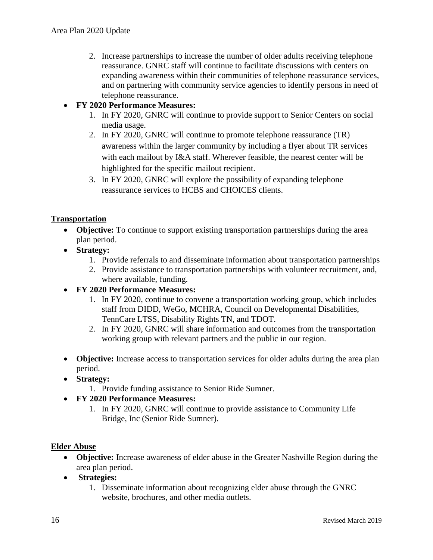2. Increase partnerships to increase the number of older adults receiving telephone reassurance. GNRC staff will continue to facilitate discussions with centers on expanding awareness within their communities of telephone reassurance services, and on partnering with community service agencies to identify persons in need of telephone reassurance.

#### • **FY 2020 Performance Measures:**

- 1. In FY 2020, GNRC will continue to provide support to Senior Centers on social media usage.
- 2. In FY 2020, GNRC will continue to promote telephone reassurance (TR) awareness within the larger community by including a flyer about TR services with each mailout by I&A staff. Wherever feasible, the nearest center will be highlighted for the specific mailout recipient.
- 3. In FY 2020, GNRC will explore the possibility of expanding telephone reassurance services to HCBS and CHOICES clients.

#### **Transportation**

- **Objective:** To continue to support existing transportation partnerships during the area plan period.
- **Strategy:**
	- 1. Provide referrals to and disseminate information about transportation partnerships
	- 2. Provide assistance to transportation partnerships with volunteer recruitment, and, where available, funding.

#### • **FY 2020 Performance Measures:**

- 1. In FY 2020, continue to convene a transportation working group, which includes staff from DIDD, WeGo, MCHRA, Council on Developmental Disabilities, TennCare LTSS, Disability Rights TN, and TDOT.
- 2. In FY 2020, GNRC will share information and outcomes from the transportation working group with relevant partners and the public in our region.
- **Objective:** Increase access to transportation services for older adults during the area plan period.
- **Strategy:**
	- 1. Provide funding assistance to Senior Ride Sumner.
- **FY 2020 Performance Measures:**
	- 1. In FY 2020, GNRC will continue to provide assistance to Community Life Bridge, Inc (Senior Ride Sumner).

#### **Elder Abuse**

- **Objective:** Increase awareness of elder abuse in the Greater Nashville Region during the area plan period.
- **Strategies:** 
	- 1. Disseminate information about recognizing elder abuse through the GNRC website, brochures, and other media outlets.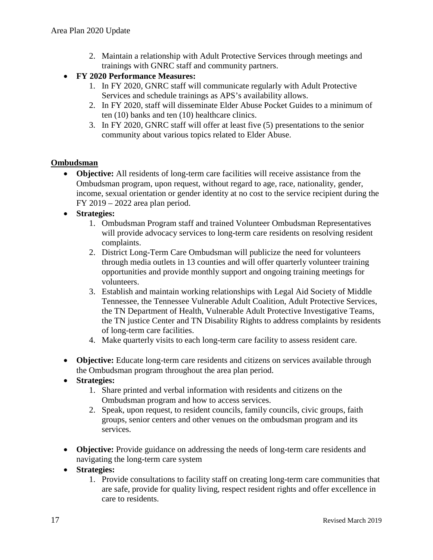- 2. Maintain a relationship with Adult Protective Services through meetings and trainings with GNRC staff and community partners.
- **FY 2020 Performance Measures:**
	- 1. In FY 2020, GNRC staff will communicate regularly with Adult Protective Services and schedule trainings as APS's availability allows.
	- 2. In FY 2020, staff will disseminate Elder Abuse Pocket Guides to a minimum of ten (10) banks and ten (10) healthcare clinics.
	- 3. In FY 2020, GNRC staff will offer at least five (5) presentations to the senior community about various topics related to Elder Abuse.

#### **Ombudsman**

- **Objective:** All residents of long-term care facilities will receive assistance from the Ombudsman program, upon request, without regard to age, race, nationality, gender, income, sexual orientation or gender identity at no cost to the service recipient during the FY 2019 – 2022 area plan period.
- **Strategies:**
	- 1. Ombudsman Program staff and trained Volunteer Ombudsman Representatives will provide advocacy services to long-term care residents on resolving resident complaints.
	- 2. District Long-Term Care Ombudsman will publicize the need for volunteers through media outlets in 13 counties and will offer quarterly volunteer training opportunities and provide monthly support and ongoing training meetings for volunteers.
	- 3. Establish and maintain working relationships with Legal Aid Society of Middle Tennessee, the Tennessee Vulnerable Adult Coalition, Adult Protective Services, the TN Department of Health, Vulnerable Adult Protective Investigative Teams, the TN justice Center and TN Disability Rights to address complaints by residents of long-term care facilities.
	- 4. Make quarterly visits to each long-term care facility to assess resident care.
- **Objective:** Educate long-term care residents and citizens on services available through the Ombudsman program throughout the area plan period.
- **Strategies:**
	- 1. Share printed and verbal information with residents and citizens on the Ombudsman program and how to access services.
	- 2. Speak, upon request, to resident councils, family councils, civic groups, faith groups, senior centers and other venues on the ombudsman program and its services.
- **Objective:** Provide guidance on addressing the needs of long-term care residents and navigating the long-term care system
- **Strategies:**
	- 1. Provide consultations to facility staff on creating long-term care communities that are safe, provide for quality living, respect resident rights and offer excellence in care to residents.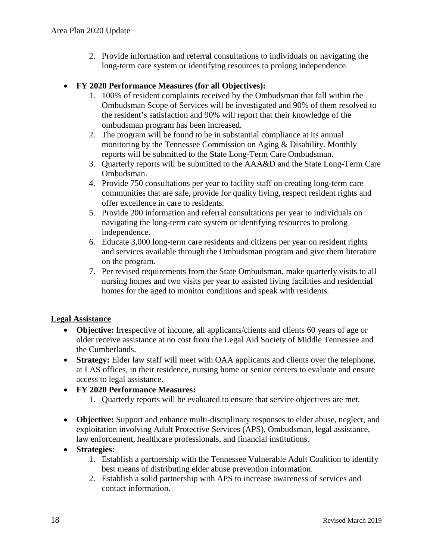2. Provide information and referral consultations to individuals on navigating the long-term care system or identifying resources to prolong independence.

#### • **FY 2020 Performance Measures (for all Objectives):**

- 1. 100% of resident complaints received by the Ombudsman that fall within the Ombudsman Scope of Services will be investigated and 90% of them resolved to the resident's satisfaction and 90% will report that their knowledge of the ombudsman program has been increased.
- 2. The program will be found to be in substantial compliance at its annual monitoring by the Tennessee Commission on Aging & Disability. Monthly reports will be submitted to the State Long-Term Care Ombudsman.
- 3. Quarterly reports will be submitted to the AAA&D and the State Long-Term Care Ombudsman.
- 4. Provide 750 consultations per year to facility staff on creating long-term care communities that are safe, provide for quality living, respect resident rights and offer excellence in care to residents.
- 5. Provide 200 information and referral consultations per year to individuals on navigating the long-term care system or identifying resources to prolong independence.
- 6. Educate 3,000 long-term care residents and citizens per year on resident rights and services available through the Ombudsman program and give them literature on the program.
- 7. Per revised requirements from the State Ombudsman, make quarterly visits to all nursing homes and two visits per year to assisted living facilities and residential homes for the aged to monitor conditions and speak with residents.

#### **Legal Assistance**

- **Objective:** Irrespective of income, all applicants/clients and clients 60 years of age or older receive assistance at no cost from the Legal Aid Society of Middle Tennessee and the Cumberlands.
- **Strategy:** Elder law staff will meet with OAA applicants and clients over the telephone, at LAS offices, in their residence, nursing home or senior centers to evaluate and ensure access to legal assistance.
- **FY 2020 Performance Measures:**
	- 1. Quarterly reports will be evaluated to ensure that service objectives are met.
- **Objective:** Support and enhance multi-disciplinary responses to elder abuse, neglect, and exploitation involving Adult Protective Services (APS), Ombudsman, legal assistance, law enforcement, healthcare professionals, and financial institutions.

#### • **Strategies:**

- 1. Establish a partnership with the Tennessee Vulnerable Adult Coalition to identify best means of distributing elder abuse prevention information.
- 2. Establish a solid partnership with APS to increase awareness of services and contact information.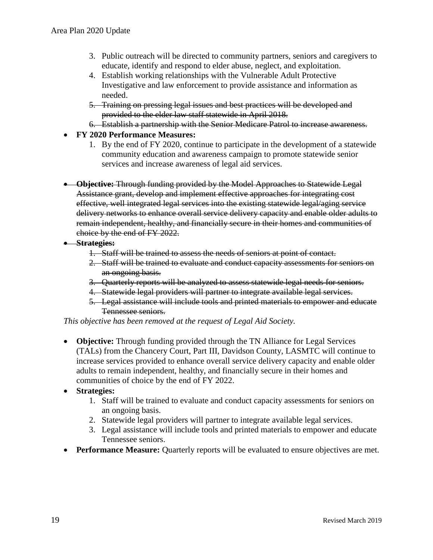- 3. Public outreach will be directed to community partners, seniors and caregivers to educate, identify and respond to elder abuse, neglect, and exploitation.
- 4. Establish working relationships with the Vulnerable Adult Protective Investigative and law enforcement to provide assistance and information as needed.
- 5. Training on pressing legal issues and best practices will be developed and provided to the elder law staff statewide in April 2018.
- 6. Establish a partnership with the Senior Medicare Patrol to increase awareness.
- **FY 2020 Performance Measures:**
	- 1. By the end of FY 2020, continue to participate in the development of a statewide community education and awareness campaign to promote statewide senior services and increase awareness of legal aid services.
- **Objective:** Through funding provided by the Model Approaches to Statewide Legal Assistance grant, develop and implement effective approaches for integrating cost effective, well integrated legal services into the existing statewide legal/aging service delivery networks to enhance overall service delivery capacity and enable older adults to remain independent, healthy, and financially secure in their homes and communities of choice by the end of FY 2022.
- **Strategies:**
	- 1. Staff will be trained to assess the needs of seniors at point of contact.
	- 2. Staff will be trained to evaluate and conduct capacity assessments for seniors on an ongoing basis.
	- 3. Quarterly reports will be analyzed to assess statewide legal needs for seniors.
	- 4. Statewide legal providers will partner to integrate available legal services.
	- 5. Legal assistance will include tools and printed materials to empower and educate Tennessee seniors.

*This objective has been removed at the request of Legal Aid Society.*

- **Objective:** Through funding provided through the TN Alliance for Legal Services (TALs) from the Chancery Court, Part III, Davidson County, LASMTC will continue to increase services provided to enhance overall service delivery capacity and enable older adults to remain independent, healthy, and financially secure in their homes and communities of choice by the end of FY 2022.
- **Strategies:**
	- 1. Staff will be trained to evaluate and conduct capacity assessments for seniors on an ongoing basis.
	- 2. Statewide legal providers will partner to integrate available legal services.
	- 3. Legal assistance will include tools and printed materials to empower and educate Tennessee seniors.
- **Performance Measure:** Quarterly reports will be evaluated to ensure objectives are met.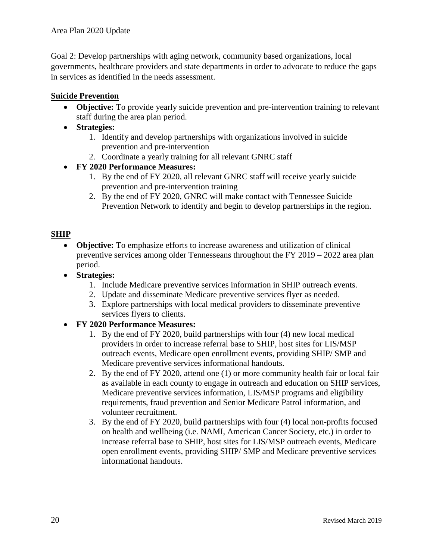Goal 2: Develop partnerships with aging network, community based organizations, local governments, healthcare providers and state departments in order to advocate to reduce the gaps in services as identified in the needs assessment.

## **Suicide Prevention**

- **Objective:** To provide yearly suicide prevention and pre-intervention training to relevant staff during the area plan period.
- **Strategies:**
	- 1. Identify and develop partnerships with organizations involved in suicide prevention and pre-intervention
	- 2. Coordinate a yearly training for all relevant GNRC staff

## • **FY 2020 Performance Measures:**

- 1. By the end of FY 2020, all relevant GNRC staff will receive yearly suicide prevention and pre-intervention training
- 2. By the end of FY 2020, GNRC will make contact with Tennessee Suicide Prevention Network to identify and begin to develop partnerships in the region.

#### **SHIP**

- **Objective:** To emphasize efforts to increase awareness and utilization of clinical preventive services among older Tennesseans throughout the FY 2019 – 2022 area plan period.
- **Strategies:**
	- 1. Include Medicare preventive services information in SHIP outreach events.
	- 2. Update and disseminate Medicare preventive services flyer as needed.
	- 3. Explore partnerships with local medical providers to disseminate preventive services flyers to clients.

#### • **FY 2020 Performance Measures:**

- 1. By the end of FY 2020, build partnerships with four (4) new local medical providers in order to increase referral base to SHIP, host sites for LIS/MSP outreach events, Medicare open enrollment events, providing SHIP/ SMP and Medicare preventive services informational handouts.
- 2. By the end of FY 2020, attend one (1) or more community health fair or local fair as available in each county to engage in outreach and education on SHIP services, Medicare preventive services information, LIS/MSP programs and eligibility requirements, fraud prevention and Senior Medicare Patrol information, and volunteer recruitment.
- 3. By the end of FY 2020, build partnerships with four (4) local non-profits focused on health and wellbeing (i.e. NAMI, American Cancer Society, etc.) in order to increase referral base to SHIP, host sites for LIS/MSP outreach events, Medicare open enrollment events, providing SHIP/ SMP and Medicare preventive services informational handouts.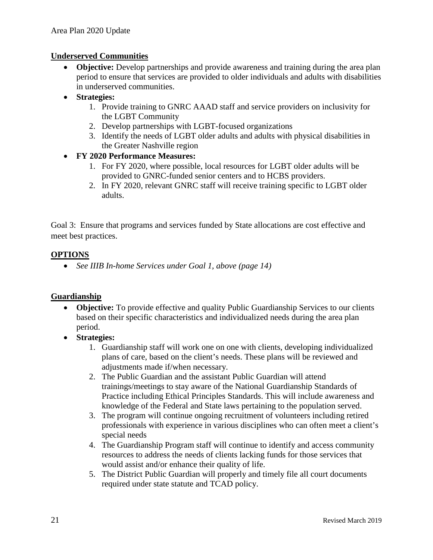#### **Underserved Communities**

- **Objective:** Develop partnerships and provide awareness and training during the area plan period to ensure that services are provided to older individuals and adults with disabilities in underserved communities.
- **Strategies:**
	- 1. Provide training to GNRC AAAD staff and service providers on inclusivity for the LGBT Community
	- 2. Develop partnerships with LGBT-focused organizations
	- 3. Identify the needs of LGBT older adults and adults with physical disabilities in the Greater Nashville region
- **FY 2020 Performance Measures:**
	- 1. For FY 2020, where possible, local resources for LGBT older adults will be provided to GNRC-funded senior centers and to HCBS providers.
	- 2. In FY 2020, relevant GNRC staff will receive training specific to LGBT older adults.

Goal 3: Ensure that programs and services funded by State allocations are cost effective and meet best practices.

#### **OPTIONS**

• *See IIIB In-home Services under Goal 1, above (page 14)*

#### **Guardianship**

- **Objective:** To provide effective and quality Public Guardianship Services to our clients based on their specific characteristics and individualized needs during the area plan period.
- **Strategies:**
	- 1. Guardianship staff will work one on one with clients, developing individualized plans of care, based on the client's needs. These plans will be reviewed and adjustments made if/when necessary.
	- 2. The Public Guardian and the assistant Public Guardian will attend trainings/meetings to stay aware of the National Guardianship Standards of Practice including Ethical Principles Standards. This will include awareness and knowledge of the Federal and State laws pertaining to the population served.
	- 3. The program will continue ongoing recruitment of volunteers including retired professionals with experience in various disciplines who can often meet a client's special needs
	- 4. The Guardianship Program staff will continue to identify and access community resources to address the needs of clients lacking funds for those services that would assist and/or enhance their quality of life.
	- 5. The District Public Guardian will properly and timely file all court documents required under state statute and TCAD policy.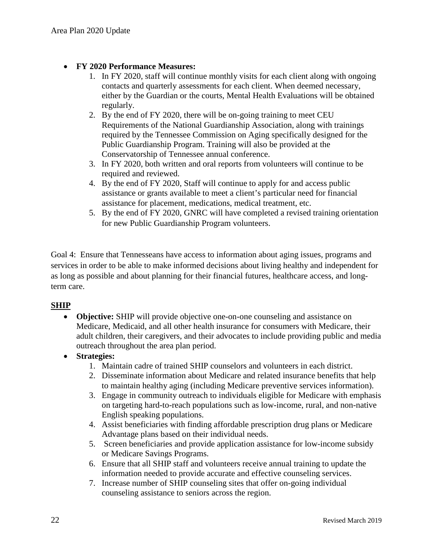#### • **FY 2020 Performance Measures:**

- 1. In FY 2020, staff will continue monthly visits for each client along with ongoing contacts and quarterly assessments for each client. When deemed necessary, either by the Guardian or the courts, Mental Health Evaluations will be obtained regularly.
- 2. By the end of FY 2020, there will be on-going training to meet CEU Requirements of the National Guardianship Association, along with trainings required by the Tennessee Commission on Aging specifically designed for the Public Guardianship Program. Training will also be provided at the Conservatorship of Tennessee annual conference.
- 3. In FY 2020, both written and oral reports from volunteers will continue to be required and reviewed.
- 4. By the end of FY 2020, Staff will continue to apply for and access public assistance or grants available to meet a client's particular need for financial assistance for placement, medications, medical treatment, etc.
- 5. By the end of FY 2020, GNRC will have completed a revised training orientation for new Public Guardianship Program volunteers.

Goal 4: Ensure that Tennesseans have access to information about aging issues, programs and services in order to be able to make informed decisions about living healthy and independent for as long as possible and about planning for their financial futures, healthcare access, and longterm care.

#### **SHIP**

- **Objective:** SHIP will provide objective one-on-one counseling and assistance on Medicare, Medicaid, and all other health insurance for consumers with Medicare, their adult children, their caregivers, and their advocates to include providing public and media outreach throughout the area plan period.
- **Strategies:**
	- 1. Maintain cadre of trained SHIP counselors and volunteers in each district.
	- 2. Disseminate information about Medicare and related insurance benefits that help to maintain healthy aging (including Medicare preventive services information).
	- 3. Engage in community outreach to individuals eligible for Medicare with emphasis on targeting hard-to-reach populations such as low-income, rural, and non-native English speaking populations.
	- 4. Assist beneficiaries with finding affordable prescription drug plans or Medicare Advantage plans based on their individual needs.
	- 5. Screen beneficiaries and provide application assistance for low-income subsidy or Medicare Savings Programs.
	- 6. Ensure that all SHIP staff and volunteers receive annual training to update the information needed to provide accurate and effective counseling services.
	- 7. Increase number of SHIP counseling sites that offer on-going individual counseling assistance to seniors across the region.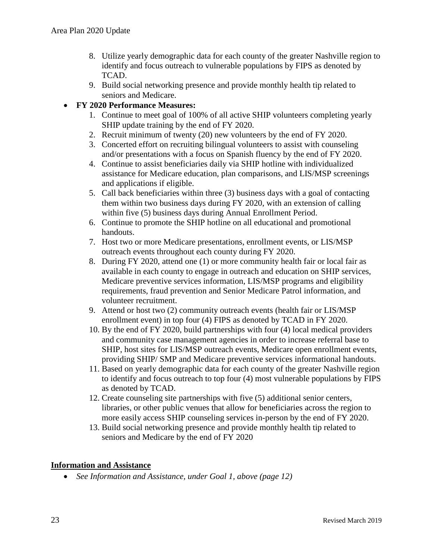- 8. Utilize yearly demographic data for each county of the greater Nashville region to identify and focus outreach to vulnerable populations by FIPS as denoted by TCAD.
- 9. Build social networking presence and provide monthly health tip related to seniors and Medicare.

#### • **FY 2020 Performance Measures:**

- 1. Continue to meet goal of 100% of all active SHIP volunteers completing yearly SHIP update training by the end of FY 2020.
- 2. Recruit minimum of twenty (20) new volunteers by the end of FY 2020.
- 3. Concerted effort on recruiting bilingual volunteers to assist with counseling and/or presentations with a focus on Spanish fluency by the end of FY 2020.
- 4. Continue to assist beneficiaries daily via SHIP hotline with individualized assistance for Medicare education, plan comparisons, and LIS/MSP screenings and applications if eligible.
- 5. Call back beneficiaries within three (3) business days with a goal of contacting them within two business days during FY 2020, with an extension of calling within five (5) business days during Annual Enrollment Period.
- 6. Continue to promote the SHIP hotline on all educational and promotional handouts.
- 7. Host two or more Medicare presentations, enrollment events, or LIS/MSP outreach events throughout each county during FY 2020.
- 8. During FY 2020, attend one (1) or more community health fair or local fair as available in each county to engage in outreach and education on SHIP services, Medicare preventive services information, LIS/MSP programs and eligibility requirements, fraud prevention and Senior Medicare Patrol information, and volunteer recruitment.
- 9. Attend or host two (2) community outreach events (health fair or LIS/MSP enrollment event) in top four (4) FIPS as denoted by TCAD in FY 2020.
- 10. By the end of FY 2020, build partnerships with four (4) local medical providers and community case management agencies in order to increase referral base to SHIP, host sites for LIS/MSP outreach events, Medicare open enrollment events, providing SHIP/ SMP and Medicare preventive services informational handouts.
- 11. Based on yearly demographic data for each county of the greater Nashville region to identify and focus outreach to top four (4) most vulnerable populations by FIPS as denoted by TCAD.
- 12. Create counseling site partnerships with five (5) additional senior centers, libraries, or other public venues that allow for beneficiaries across the region to more easily access SHIP counseling services in-person by the end of FY 2020.
- 13. Build social networking presence and provide monthly health tip related to seniors and Medicare by the end of FY 2020

#### **Information and Assistance**

• *See Information and Assistance, under Goal 1, above (page 12)*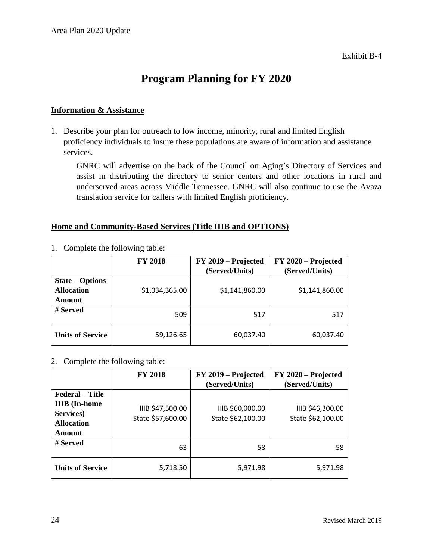## **Program Planning for FY 2020**

#### **Information & Assistance**

1. Describe your plan for outreach to low income, minority, rural and limited English proficiency individuals to insure these populations are aware of information and assistance services.

GNRC will advertise on the back of the Council on Aging's Directory of Services and assist in distributing the directory to senior centers and other locations in rural and underserved areas across Middle Tennessee. GNRC will also continue to use the Avaza translation service for callers with limited English proficiency.

#### **Home and Community-Based Services (Title IIIB and OPTIONS)**

|                                                              | <b>FY 2018</b> | FY 2019 – Projected<br>(Served/Units) | FY 2020 – Projected<br>(Served/Units) |
|--------------------------------------------------------------|----------------|---------------------------------------|---------------------------------------|
| <b>State – Options</b><br><b>Allocation</b><br><b>Amount</b> | \$1,034,365.00 | \$1,141,860.00                        | \$1,141,860.00                        |
| # Served                                                     | 509            | 517                                   | 517                                   |
| <b>Units of Service</b>                                      | 59,126.65      | 60,037.40                             | 60,037.40                             |

1. Complete the following table:

#### 2. Complete the following table:

|                                                                                            | <b>FY 2018</b>                        | FY 2019 - Projected<br>(Served/Units) | FY 2020 - Projected<br>(Served/Units) |
|--------------------------------------------------------------------------------------------|---------------------------------------|---------------------------------------|---------------------------------------|
| <b>Federal</b> – Title<br><b>IIIB</b> (In-home<br>Services)<br><b>Allocation</b><br>Amount | IIIB \$47,500.00<br>State \$57,600.00 | IIIB \$60,000.00<br>State \$62,100.00 | IIIB \$46,300.00<br>State \$62,100.00 |
| # Served                                                                                   | 63                                    | 58                                    | 58                                    |
| <b>Units of Service</b>                                                                    | 5,718.50                              | 5,971.98                              | 5,971.98                              |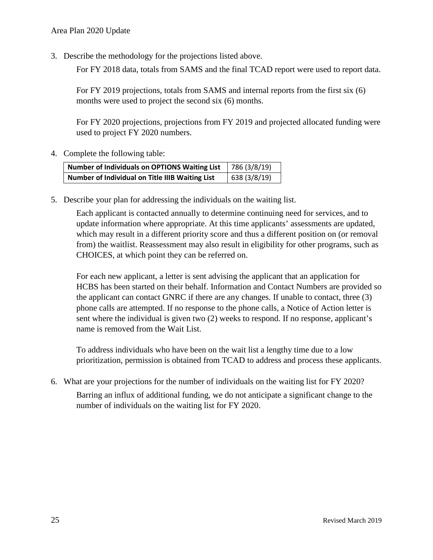3. Describe the methodology for the projections listed above.

For FY 2018 data, totals from SAMS and the final TCAD report were used to report data.

For FY 2019 projections, totals from SAMS and internal reports from the first six (6) months were used to project the second six (6) months.

For FY 2020 projections, projections from FY 2019 and projected allocated funding were used to project FY 2020 numbers.

4. Complete the following table:

| Number of Individuals on OPTIONS Waiting List   | 786 (3/8/19) |
|-------------------------------------------------|--------------|
| Number of Individual on Title IIIB Waiting List | 638 (3/8/19) |

5. Describe your plan for addressing the individuals on the waiting list.

Each applicant is contacted annually to determine continuing need for services, and to update information where appropriate. At this time applicants' assessments are updated, which may result in a different priority score and thus a different position on (or removal from) the waitlist. Reassessment may also result in eligibility for other programs, such as CHOICES, at which point they can be referred on.

For each new applicant, a letter is sent advising the applicant that an application for HCBS has been started on their behalf. Information and Contact Numbers are provided so the applicant can contact GNRC if there are any changes. If unable to contact, three (3) phone calls are attempted. If no response to the phone calls, a Notice of Action letter is sent where the individual is given two (2) weeks to respond. If no response, applicant's name is removed from the Wait List.

To address individuals who have been on the wait list a lengthy time due to a low prioritization, permission is obtained from TCAD to address and process these applicants.

6. What are your projections for the number of individuals on the waiting list for FY 2020? Barring an influx of additional funding, we do not anticipate a significant change to the number of individuals on the waiting list for FY 2020.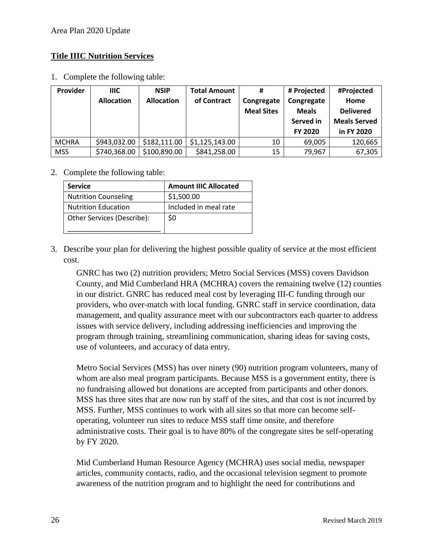#### **Title IIIC Nutrition Services**

1. Complete the following table:

| Provider     | <b>IIIC</b>       | <b>NSIP</b>       | <b>Total Amount</b> | #                 | # Projected  | #Projected          |
|--------------|-------------------|-------------------|---------------------|-------------------|--------------|---------------------|
|              | <b>Allocation</b> | <b>Allocation</b> | of Contract         | Congregate        | Congregate   | Home                |
|              |                   |                   |                     | <b>Meal Sites</b> | <b>Meals</b> | <b>Delivered</b>    |
|              |                   |                   |                     |                   | Served in    | <b>Meals Served</b> |
|              |                   |                   |                     |                   | FY 2020      | in FY 2020          |
| <b>MCHRA</b> | \$943,032.00      | \$182,111.00      | \$1,125,143.00      | 10                | 69,005       | 120,665             |
| <b>MSS</b>   | \$740,368.00      | \$100,890.00      | \$841,258.00        | 15                | 79,967       | 67,305              |

#### 2. Complete the following table:

| <b>Service</b>              | <b>Amount IIIC Allocated</b> |
|-----------------------------|------------------------------|
| <b>Nutrition Counseling</b> | \$1,500.00                   |
| <b>Nutrition Education</b>  | Included in meal rate        |
| Other Services (Describe):  | \$0                          |
|                             |                              |

3. Describe your plan for delivering the highest possible quality of service at the most efficient cost.

GNRC has two (2) nutrition providers; Metro Social Services (MSS) covers Davidson County, and Mid Cumberland HRA (MCHRA) covers the remaining twelve (12) counties in our district. GNRC has reduced meal cost by leveraging III-C funding through our providers, who over-match with local funding. GNRC staff in service coordination, data management, and quality assurance meet with our subcontractors each quarter to address issues with service delivery, including addressing inefficiencies and improving the program through training, streamlining communication, sharing ideas for saving costs, use of volunteers, and accuracy of data entry.

Metro Social Services (MSS) has over ninety (90) nutrition program volunteers, many of whom are also meal program participants. Because MSS is a government entity, there is no fundraising allowed but donations are accepted from participants and other donors. MSS has three sites that are now run by staff of the sites, and that cost is not incurred by MSS. Further, MSS continues to work with all sites so that more can become selfoperating, volunteer run sites to reduce MSS staff time onsite, and therefore administrative costs. Their goal is to have 80% of the congregate sites be self-operating by FY 2020.

Mid Cumberland Human Resource Agency (MCHRA) uses social media, newspaper articles, community contacts, radio, and the occasional television segment to promote awareness of the nutrition program and to highlight the need for contributions and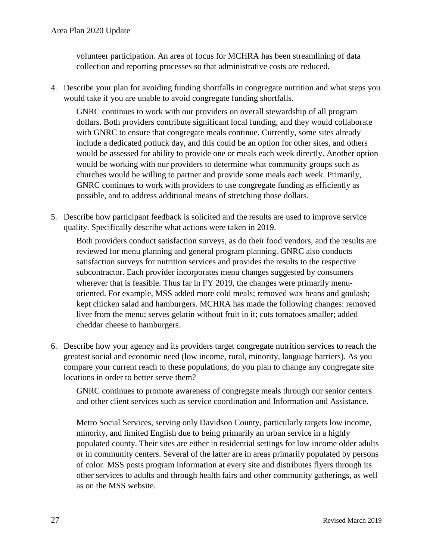volunteer participation. An area of focus for MCHRA has been streamlining of data collection and reporting processes so that administrative costs are reduced.

4. Describe your plan for avoiding funding shortfalls in congregate nutrition and what steps you would take if you are unable to avoid congregate funding shortfalls.

GNRC continues to work with our providers on overall stewardship of all program dollars. Both providers contribute significant local funding, and they would collaborate with GNRC to ensure that congregate meals continue. Currently, some sites already include a dedicated potluck day, and this could be an option for other sites, and others would be assessed for ability to provide one or meals each week directly. Another option would be working with our providers to determine what community groups such as churches would be willing to partner and provide some meals each week. Primarily, GNRC continues to work with providers to use congregate funding as efficiently as possible, and to address additional means of stretching those dollars.

5. Describe how participant feedback is solicited and the results are used to improve service quality. Specifically describe what actions were taken in 2019.

Both providers conduct satisfaction surveys, as do their food vendors, and the results are reviewed for menu planning and general program planning. GNRC also conducts satisfaction surveys for nutrition services and provides the results to the respective subcontractor. Each provider incorporates menu changes suggested by consumers wherever that is feasible. Thus far in FY 2019, the changes were primarily menuoriented. For example, MSS added more cold meals; removed wax beans and goulash; kept chicken salad and hamburgers. MCHRA has made the following changes: removed liver from the menu; serves gelatin without fruit in it; cuts tomatoes smaller; added cheddar cheese to hamburgers.

6. Describe how your agency and its providers target congregate nutrition services to reach the greatest social and economic need (low income, rural, minority, language barriers). As you compare your current reach to these populations, do you plan to change any congregate site locations in order to better serve them?

GNRC continues to promote awareness of congregate meals through our senior centers and other client services such as service coordination and Information and Assistance.

Metro Social Services, serving only Davidson County, particularly targets low income, minority, and limited English due to being primarily an urban service in a highly populated county. Their sites are either in residential settings for low income older adults or in community centers. Several of the latter are in areas primarily populated by persons of color. MSS posts program information at every site and distributes flyers through its other services to adults and through health fairs and other community gatherings, as well as on the MSS website.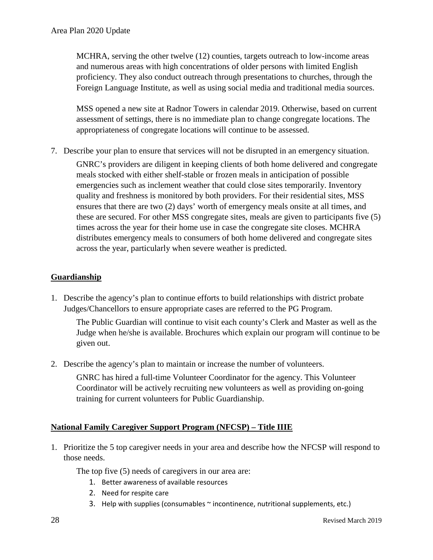MCHRA, serving the other twelve (12) counties, targets outreach to low-income areas and numerous areas with high concentrations of older persons with limited English proficiency. They also conduct outreach through presentations to churches, through the Foreign Language Institute, as well as using social media and traditional media sources.

MSS opened a new site at Radnor Towers in calendar 2019. Otherwise, based on current assessment of settings, there is no immediate plan to change congregate locations. The appropriateness of congregate locations will continue to be assessed.

7. Describe your plan to ensure that services will not be disrupted in an emergency situation.

GNRC's providers are diligent in keeping clients of both home delivered and congregate meals stocked with either shelf-stable or frozen meals in anticipation of possible emergencies such as inclement weather that could close sites temporarily. Inventory quality and freshness is monitored by both providers. For their residential sites, MSS ensures that there are two (2) days' worth of emergency meals onsite at all times, and these are secured. For other MSS congregate sites, meals are given to participants five (5) times across the year for their home use in case the congregate site closes. MCHRA distributes emergency meals to consumers of both home delivered and congregate sites across the year, particularly when severe weather is predicted.

#### **Guardianship**

1. Describe the agency's plan to continue efforts to build relationships with district probate Judges/Chancellors to ensure appropriate cases are referred to the PG Program.

The Public Guardian will continue to visit each county's Clerk and Master as well as the Judge when he/she is available. Brochures which explain our program will continue to be given out.

2. Describe the agency's plan to maintain or increase the number of volunteers.

GNRC has hired a full-time Volunteer Coordinator for the agency. This Volunteer Coordinator will be actively recruiting new volunteers as well as providing on-going training for current volunteers for Public Guardianship.

#### **National Family Caregiver Support Program (NFCSP) – Title IIIE**

1. Prioritize the 5 top caregiver needs in your area and describe how the NFCSP will respond to those needs.

The top five (5) needs of caregivers in our area are:

- 1. Better awareness of available resources
- 2. Need for respite care
- 3. Help with supplies (consumables ~ incontinence, nutritional supplements, etc.)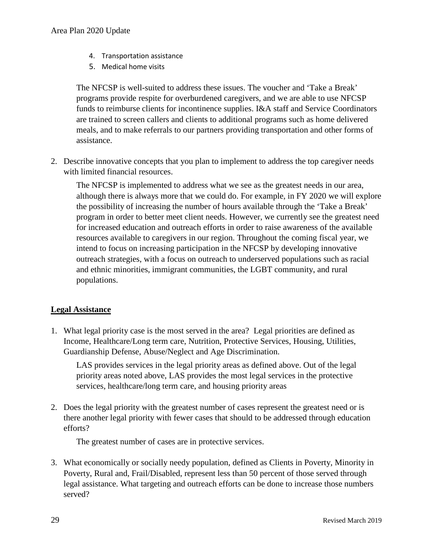- 4. Transportation assistance
- 5. Medical home visits

The NFCSP is well-suited to address these issues. The voucher and 'Take a Break' programs provide respite for overburdened caregivers, and we are able to use NFCSP funds to reimburse clients for incontinence supplies. I&A staff and Service Coordinators are trained to screen callers and clients to additional programs such as home delivered meals, and to make referrals to our partners providing transportation and other forms of assistance.

2. Describe innovative concepts that you plan to implement to address the top caregiver needs with limited financial resources.

The NFCSP is implemented to address what we see as the greatest needs in our area, although there is always more that we could do. For example, in FY 2020 we will explore the possibility of increasing the number of hours available through the 'Take a Break' program in order to better meet client needs. However, we currently see the greatest need for increased education and outreach efforts in order to raise awareness of the available resources available to caregivers in our region. Throughout the coming fiscal year, we intend to focus on increasing participation in the NFCSP by developing innovative outreach strategies, with a focus on outreach to underserved populations such as racial and ethnic minorities, immigrant communities, the LGBT community, and rural populations.

#### **Legal Assistance**

1. What legal priority case is the most served in the area? Legal priorities are defined as Income, Healthcare/Long term care, Nutrition, Protective Services, Housing, Utilities, Guardianship Defense, Abuse/Neglect and Age Discrimination.

LAS provides services in the legal priority areas as defined above. Out of the legal priority areas noted above, LAS provides the most legal services in the protective services, healthcare/long term care, and housing priority areas

2. Does the legal priority with the greatest number of cases represent the greatest need or is there another legal priority with fewer cases that should to be addressed through education efforts?

The greatest number of cases are in protective services.

3. What economically or socially needy population, defined as Clients in Poverty, Minority in Poverty, Rural and, Frail/Disabled, represent less than 50 percent of those served through legal assistance. What targeting and outreach efforts can be done to increase those numbers served?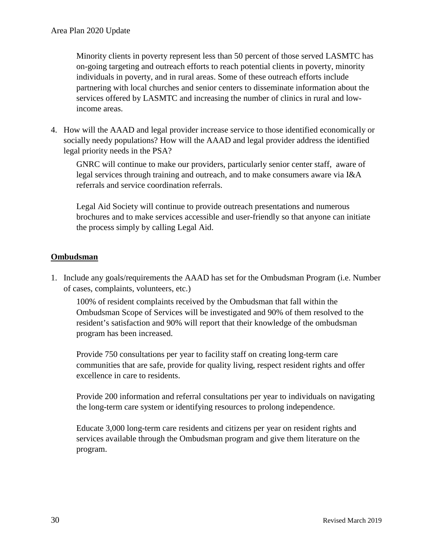Minority clients in poverty represent less than 50 percent of those served LASMTC has on-going targeting and outreach efforts to reach potential clients in poverty, minority individuals in poverty, and in rural areas. Some of these outreach efforts include partnering with local churches and senior centers to disseminate information about the services offered by LASMTC and increasing the number of clinics in rural and lowincome areas.

4. How will the AAAD and legal provider increase service to those identified economically or socially needy populations? How will the AAAD and legal provider address the identified legal priority needs in the PSA?

GNRC will continue to make our providers, particularly senior center staff, aware of legal services through training and outreach, and to make consumers aware via I&A referrals and service coordination referrals.

Legal Aid Society will continue to provide outreach presentations and numerous brochures and to make services accessible and user-friendly so that anyone can initiate the process simply by calling Legal Aid.

#### **Ombudsman**

1. Include any goals/requirements the AAAD has set for the Ombudsman Program (i.e. Number of cases, complaints, volunteers, etc.)

100% of resident complaints received by the Ombudsman that fall within the Ombudsman Scope of Services will be investigated and 90% of them resolved to the resident's satisfaction and 90% will report that their knowledge of the ombudsman program has been increased.

Provide 750 consultations per year to facility staff on creating long-term care communities that are safe, provide for quality living, respect resident rights and offer excellence in care to residents.

Provide 200 information and referral consultations per year to individuals on navigating the long-term care system or identifying resources to prolong independence.

Educate 3,000 long-term care residents and citizens per year on resident rights and services available through the Ombudsman program and give them literature on the program.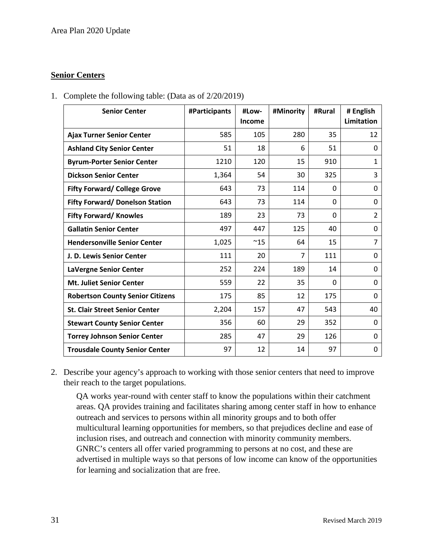#### **Senior Centers**

1. Complete the following table: (Data as of 2/20/2019)

| <b>Senior Center</b>                    | #Participants | #Low-<br>Income | #Minority      | #Rural   | # English<br><b>Limitation</b> |
|-----------------------------------------|---------------|-----------------|----------------|----------|--------------------------------|
| <b>Ajax Turner Senior Center</b>        | 585           | 105             | 280            | 35       | 12                             |
| <b>Ashland City Senior Center</b>       | 51            | 18              | 6              | 51       | 0                              |
| <b>Byrum-Porter Senior Center</b>       | 1210          | 120             | 15             | 910      | 1                              |
| <b>Dickson Senior Center</b>            | 1,364         | 54              | 30             | 325      | 3                              |
| <b>Fifty Forward/ College Grove</b>     | 643           | 73              | 114            | $\Omega$ | 0                              |
| <b>Fifty Forward/ Donelson Station</b>  | 643           | 73              | 114            | 0        | 0                              |
| <b>Fifty Forward/ Knowles</b>           | 189           | 23              | 73             | $\Omega$ | $\overline{2}$                 |
| <b>Gallatin Senior Center</b>           | 497           | 447             | 125            | 40       | $\mathbf{0}$                   |
| <b>Hendersonville Senior Center</b>     | 1,025         | $^{\sim}15$     | 64             | 15       | $\overline{7}$                 |
| J. D. Lewis Senior Center               | 111           | 20              | $\overline{7}$ | 111      | $\mathbf{0}$                   |
| LaVergne Senior Center                  | 252           | 224             | 189            | 14       | $\mathbf{0}$                   |
| <b>Mt. Juliet Senior Center</b>         | 559           | 22              | 35             | 0        | 0                              |
| <b>Robertson County Senior Citizens</b> | 175           | 85              | 12             | 175      | $\mathbf{0}$                   |
| <b>St. Clair Street Senior Center</b>   | 2,204         | 157             | 47             | 543      | 40                             |
| <b>Stewart County Senior Center</b>     | 356           | 60              | 29             | 352      | 0                              |
| <b>Torrey Johnson Senior Center</b>     | 285           | 47              | 29             | 126      | 0                              |
| <b>Trousdale County Senior Center</b>   | 97            | 12              | 14             | 97       | 0                              |

2. Describe your agency's approach to working with those senior centers that need to improve their reach to the target populations.

QA works year-round with center staff to know the populations within their catchment areas. QA provides training and facilitates sharing among center staff in how to enhance outreach and services to persons within all minority groups and to both offer multicultural learning opportunities for members, so that prejudices decline and ease of inclusion rises, and outreach and connection with minority community members. GNRC's centers all offer varied programming to persons at no cost, and these are advertised in multiple ways so that persons of low income can know of the opportunities for learning and socialization that are free.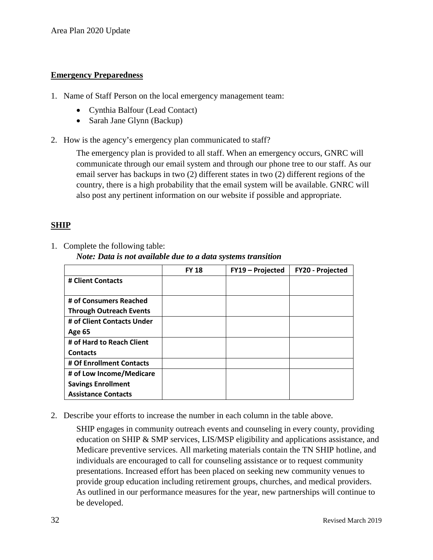#### **Emergency Preparedness**

- 1. Name of Staff Person on the local emergency management team:
	- Cynthia Balfour (Lead Contact)
	- Sarah Jane Glynn (Backup)
- 2. How is the agency's emergency plan communicated to staff?

The emergency plan is provided to all staff. When an emergency occurs, GNRC will communicate through our email system and through our phone tree to our staff. As our email server has backups in two (2) different states in two (2) different regions of the country, there is a high probability that the email system will be available. GNRC will also post any pertinent information on our website if possible and appropriate.

## **SHIP**

1. Complete the following table:

*Note: Data is not available due to a data systems transition*

|                                | <b>FY 18</b> | FY19 - Projected | <b>FY20 - Projected</b> |
|--------------------------------|--------------|------------------|-------------------------|
| # Client Contacts              |              |                  |                         |
|                                |              |                  |                         |
| # of Consumers Reached         |              |                  |                         |
| <b>Through Outreach Events</b> |              |                  |                         |
| # of Client Contacts Under     |              |                  |                         |
| <b>Age 65</b>                  |              |                  |                         |
| # of Hard to Reach Client      |              |                  |                         |
| <b>Contacts</b>                |              |                  |                         |
| # Of Enrollment Contacts       |              |                  |                         |
| # of Low Income/Medicare       |              |                  |                         |
| <b>Savings Enrollment</b>      |              |                  |                         |
| <b>Assistance Contacts</b>     |              |                  |                         |

2. Describe your efforts to increase the number in each column in the table above.

SHIP engages in community outreach events and counseling in every county, providing education on SHIP & SMP services, LIS/MSP eligibility and applications assistance, and Medicare preventive services. All marketing materials contain the TN SHIP hotline, and individuals are encouraged to call for counseling assistance or to request community presentations. Increased effort has been placed on seeking new community venues to provide group education including retirement groups, churches, and medical providers. As outlined in our performance measures for the year, new partnerships will continue to be developed.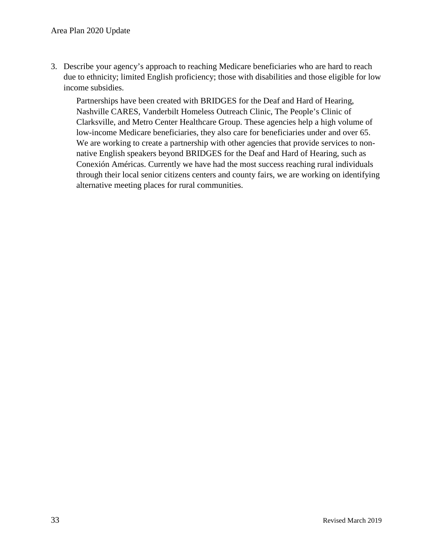3. Describe your agency's approach to reaching Medicare beneficiaries who are hard to reach due to ethnicity; limited English proficiency; those with disabilities and those eligible for low income subsidies.

Partnerships have been created with BRIDGES for the Deaf and Hard of Hearing, Nashville CARES, Vanderbilt Homeless Outreach Clinic, The People's Clinic of Clarksville, and Metro Center Healthcare Group. These agencies help a high volume of low-income Medicare beneficiaries, they also care for beneficiaries under and over 65. We are working to create a partnership with other agencies that provide services to nonnative English speakers beyond BRIDGES for the Deaf and Hard of Hearing, such as Conexión Américas. Currently we have had the most success reaching rural individuals through their local senior citizens centers and county fairs, we are working on identifying alternative meeting places for rural communities.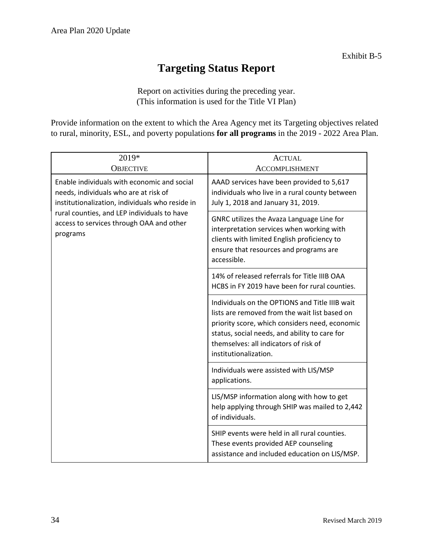# **Targeting Status Report**

Report on activities during the preceding year. (This information is used for the Title VI Plan)

Provide information on the extent to which the Area Agency met its Targeting objectives related to rural, minority, ESL, and poverty populations **for all programs** in the 2019 - 2022 Area Plan.

| 2019*<br><b>OBJECTIVE</b>                                                                                                               | <b>ACTUAL</b><br><b>ACCOMPLISHMENT</b>                                                                                                                                                                                                                               |
|-----------------------------------------------------------------------------------------------------------------------------------------|----------------------------------------------------------------------------------------------------------------------------------------------------------------------------------------------------------------------------------------------------------------------|
| Enable individuals with economic and social<br>needs, individuals who are at risk of<br>institutionalization, individuals who reside in | AAAD services have been provided to 5,617<br>individuals who live in a rural county between<br>July 1, 2018 and January 31, 2019.                                                                                                                                    |
| rural counties, and LEP individuals to have<br>access to services through OAA and other<br>programs                                     | GNRC utilizes the Avaza Language Line for<br>interpretation services when working with<br>clients with limited English proficiency to<br>ensure that resources and programs are<br>accessible.                                                                       |
|                                                                                                                                         | 14% of released referrals for Title IIIB OAA<br>HCBS in FY 2019 have been for rural counties.                                                                                                                                                                        |
|                                                                                                                                         | Individuals on the OPTIONS and Title IIIB wait<br>lists are removed from the wait list based on<br>priority score, which considers need, economic<br>status, social needs, and ability to care for<br>themselves: all indicators of risk of<br>institutionalization. |
|                                                                                                                                         | Individuals were assisted with LIS/MSP<br>applications.                                                                                                                                                                                                              |
|                                                                                                                                         | LIS/MSP information along with how to get<br>help applying through SHIP was mailed to 2,442<br>of individuals.                                                                                                                                                       |
|                                                                                                                                         | SHIP events were held in all rural counties.<br>These events provided AEP counseling<br>assistance and included education on LIS/MSP.                                                                                                                                |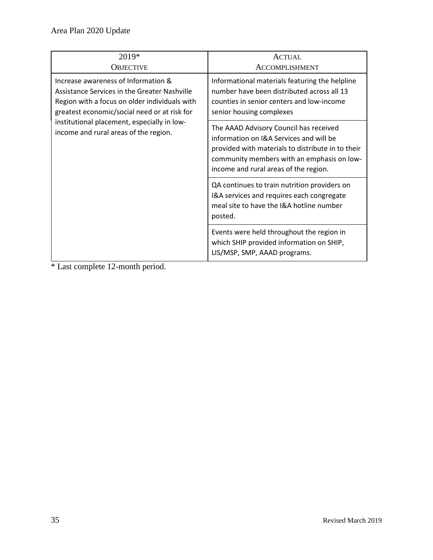| 2019*<br><b>OBJECTIVE</b>                                                                                                                                                                                                                                                    | <b>ACTUAL</b><br><b>ACCOMPLISHMENT</b>                                                                                                                                                                                        |
|------------------------------------------------------------------------------------------------------------------------------------------------------------------------------------------------------------------------------------------------------------------------------|-------------------------------------------------------------------------------------------------------------------------------------------------------------------------------------------------------------------------------|
| Increase awareness of Information &<br>Assistance Services in the Greater Nashville<br>Region with a focus on older individuals with<br>greatest economic/social need or at risk for<br>institutional placement, especially in low-<br>income and rural areas of the region. | Informational materials featuring the helpline<br>number have been distributed across all 13<br>counties in senior centers and low-income<br>senior housing complexes                                                         |
|                                                                                                                                                                                                                                                                              | The AAAD Advisory Council has received<br>information on I&A Services and will be<br>provided with materials to distribute in to their<br>community members with an emphasis on low-<br>income and rural areas of the region. |
|                                                                                                                                                                                                                                                                              | QA continues to train nutrition providers on<br>I&A services and requires each congregate<br>meal site to have the I&A hotline number<br>posted.                                                                              |
|                                                                                                                                                                                                                                                                              | Events were held throughout the region in<br>which SHIP provided information on SHIP,<br>LIS/MSP, SMP, AAAD programs.                                                                                                         |

\* Last complete 12-month period.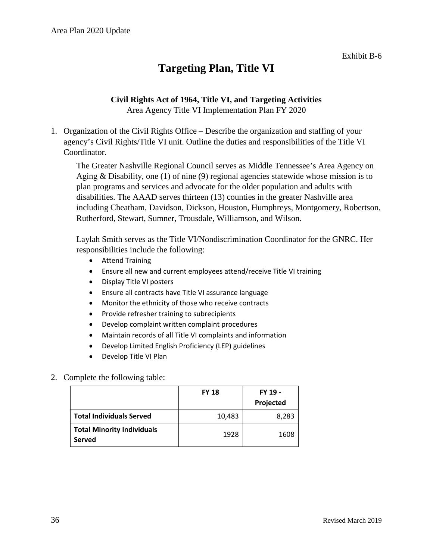# **Targeting Plan, Title VI**

## **Civil Rights Act of 1964, Title VI, and Targeting Activities**

Area Agency Title VI Implementation Plan FY 2020

1. Organization of the Civil Rights Office – Describe the organization and staffing of your agency's Civil Rights/Title VI unit. Outline the duties and responsibilities of the Title VI Coordinator.

The Greater Nashville Regional Council serves as Middle Tennessee's Area Agency on Aging & Disability, one (1) of nine (9) regional agencies statewide whose mission is to plan programs and services and advocate for the older population and adults with disabilities. The AAAD serves thirteen (13) counties in the greater Nashville area including Cheatham, Davidson, Dickson, Houston, Humphreys, Montgomery, Robertson, Rutherford, Stewart, Sumner, Trousdale, Williamson, and Wilson.

Laylah Smith serves as the Title VI/Nondiscrimination Coordinator for the GNRC. Her responsibilities include the following:

- Attend Training
- Ensure all new and current employees attend/receive Title VI training
- Display Title VI posters
- Ensure all contracts have Title VI assurance language
- Monitor the ethnicity of those who receive contracts
- Provide refresher training to subrecipients
- Develop complaint written complaint procedures
- Maintain records of all Title VI complaints and information
- Develop Limited English Proficiency (LEP) guidelines
- Develop Title VI Plan

#### 2. Complete the following table:

|                                                    | <b>FY 18</b> | FY 19 -<br>Projected |
|----------------------------------------------------|--------------|----------------------|
| <b>Total Individuals Served</b>                    | 10,483       | 8,283                |
| <b>Total Minority Individuals</b><br><b>Served</b> | 1928         | 1608                 |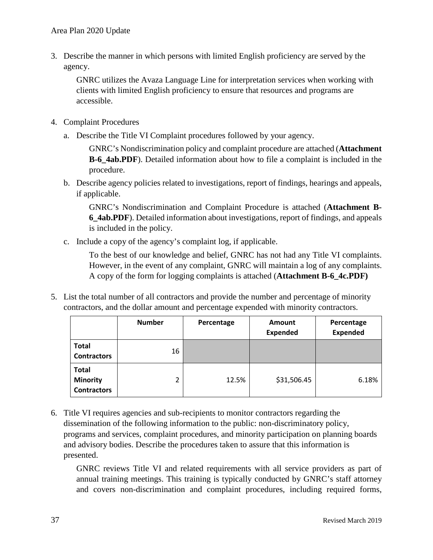3. Describe the manner in which persons with limited English proficiency are served by the agency.

GNRC utilizes the Avaza Language Line for interpretation services when working with clients with limited English proficiency to ensure that resources and programs are accessible.

- 4. Complaint Procedures
	- a. Describe the Title VI Complaint procedures followed by your agency.

GNRC's Nondiscrimination policy and complaint procedure are attached (**Attachment B-6\_4ab.PDF**). Detailed information about how to file a complaint is included in the procedure.

b. Describe agency policies related to investigations, report of findings, hearings and appeals, if applicable.

GNRC's Nondiscrimination and Complaint Procedure is attached (**Attachment B-6\_4ab.PDF**). Detailed information about investigations, report of findings, and appeals is included in the policy.

c. Include a copy of the agency's complaint log, if applicable.

To the best of our knowledge and belief, GNRC has not had any Title VI complaints. However, in the event of any complaint, GNRC will maintain a log of any complaints. A copy of the form for logging complaints is attached (**Attachment B-6\_4c.PDF)**

5. List the total number of all contractors and provide the number and percentage of minority contractors, and the dollar amount and percentage expended with minority contractors.

|                                                       | <b>Number</b> | Percentage | Amount<br><b>Expended</b> | Percentage<br><b>Expended</b> |
|-------------------------------------------------------|---------------|------------|---------------------------|-------------------------------|
| <b>Total</b><br><b>Contractors</b>                    | 16            |            |                           |                               |
| <b>Total</b><br><b>Minority</b><br><b>Contractors</b> | 2             | 12.5%      | \$31,506.45               | 6.18%                         |

6. Title VI requires agencies and sub-recipients to monitor contractors regarding the dissemination of the following information to the public: non-discriminatory policy, programs and services, complaint procedures, and minority participation on planning boards and advisory bodies. Describe the procedures taken to assure that this information is presented.

GNRC reviews Title VI and related requirements with all service providers as part of annual training meetings. This training is typically conducted by GNRC's staff attorney and covers non-discrimination and complaint procedures, including required forms,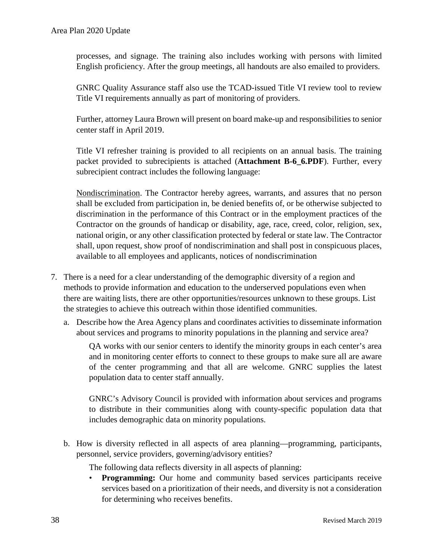processes, and signage. The training also includes working with persons with limited English proficiency. After the group meetings, all handouts are also emailed to providers.

GNRC Quality Assurance staff also use the TCAD-issued Title VI review tool to review Title VI requirements annually as part of monitoring of providers.

Further, attorney Laura Brown will present on board make-up and responsibilities to senior center staff in April 2019.

Title VI refresher training is provided to all recipients on an annual basis. The training packet provided to subrecipients is attached (**Attachment B-6\_6.PDF**). Further, every subrecipient contract includes the following language:

Nondiscrimination. The Contractor hereby agrees, warrants, and assures that no person shall be excluded from participation in, be denied benefits of, or be otherwise subjected to discrimination in the performance of this Contract or in the employment practices of the Contractor on the grounds of handicap or disability, age, race, creed, color, religion, sex, national origin, or any other classification protected by federal or state law. The Contractor shall, upon request, show proof of nondiscrimination and shall post in conspicuous places, available to all employees and applicants, notices of nondiscrimination

- 7. There is a need for a clear understanding of the demographic diversity of a region and methods to provide information and education to the underserved populations even when there are waiting lists, there are other opportunities/resources unknown to these groups. List the strategies to achieve this outreach within those identified communities.
	- a. Describe how the Area Agency plans and coordinates activities to disseminate information about services and programs to minority populations in the planning and service area?

QA works with our senior centers to identify the minority groups in each center's area and in monitoring center efforts to connect to these groups to make sure all are aware of the center programming and that all are welcome. GNRC supplies the latest population data to center staff annually.

GNRC's Advisory Council is provided with information about services and programs to distribute in their communities along with county-specific population data that includes demographic data on minority populations.

b. How is diversity reflected in all aspects of area planning—programming, participants, personnel, service providers, governing/advisory entities?

The following data reflects diversity in all aspects of planning:

• **Programming:** Our home and community based services participants receive services based on a prioritization of their needs, and diversity is not a consideration for determining who receives benefits.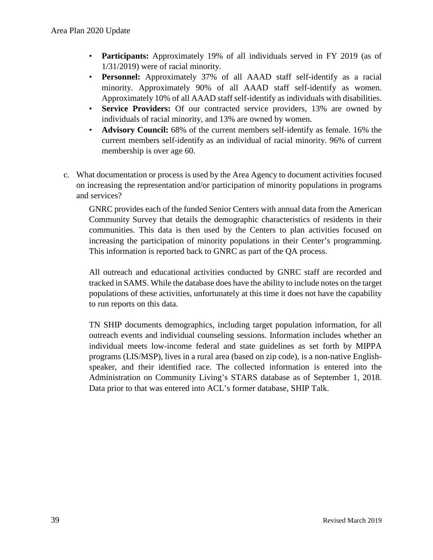- **Participants:** Approximately 19% of all individuals served in FY 2019 (as of 1/31/2019) were of racial minority.
- **Personnel:** Approximately 37% of all AAAD staff self-identify as a racial minority. Approximately 90% of all AAAD staff self-identify as women. Approximately 10% of all AAAD staff self-identify as individuals with disabilities.
- **Service Providers:** Of our contracted service providers, 13% are owned by individuals of racial minority, and 13% are owned by women.
- **Advisory Council:** 68% of the current members self-identify as female. 16% the current members self-identify as an individual of racial minority. 96% of current membership is over age 60.
- c. What documentation or process is used by the Area Agency to document activities focused on increasing the representation and/or participation of minority populations in programs and services?

GNRC provides each of the funded Senior Centers with annual data from the American Community Survey that details the demographic characteristics of residents in their communities. This data is then used by the Centers to plan activities focused on increasing the participation of minority populations in their Center's programming. This information is reported back to GNRC as part of the QA process.

All outreach and educational activities conducted by GNRC staff are recorded and tracked in SAMS. While the database does have the ability to include notes on the target populations of these activities, unfortunately at this time it does not have the capability to run reports on this data.

TN SHIP documents demographics, including target population information, for all outreach events and individual counseling sessions. Information includes whether an individual meets low-income federal and state guidelines as set forth by MIPPA programs (LIS/MSP), lives in a rural area (based on zip code), is a non-native Englishspeaker, and their identified race. The collected information is entered into the Administration on Community Living's STARS database as of September 1, 2018. Data prior to that was entered into ACL's former database, SHIP Talk.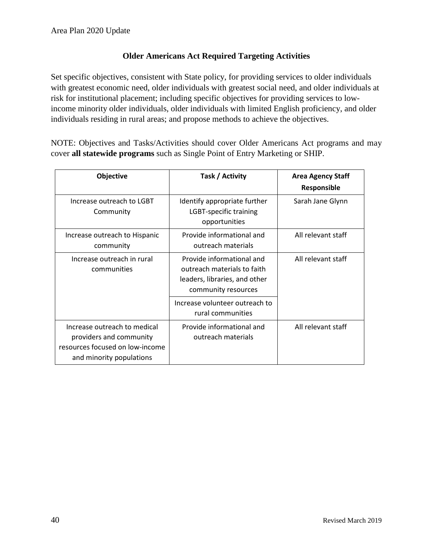#### **Older Americans Act Required Targeting Activities**

Set specific objectives, consistent with State policy, for providing services to older individuals with greatest economic need, older individuals with greatest social need, and older individuals at risk for institutional placement; including specific objectives for providing services to lowincome minority older individuals, older individuals with limited English proficiency, and older individuals residing in rural areas; and propose methods to achieve the objectives.

NOTE: Objectives and Tasks/Activities should cover Older Americans Act programs and may cover **all statewide programs** such as Single Point of Entry Marketing or SHIP.

| Objective                                                                                                              | Task / Activity                                                                                                  | <b>Area Agency Staff</b><br>Responsible |
|------------------------------------------------------------------------------------------------------------------------|------------------------------------------------------------------------------------------------------------------|-----------------------------------------|
| Increase outreach to LGBT<br>Community                                                                                 | Identify appropriate further<br>LGBT-specific training<br>opportunities                                          | Sarah Jane Glynn                        |
| Increase outreach to Hispanic<br>community                                                                             | Provide informational and<br>outreach materials                                                                  | All relevant staff                      |
| Increase outreach in rural<br>communities                                                                              | Provide informational and<br>outreach materials to faith<br>leaders, libraries, and other<br>community resources | All relevant staff                      |
|                                                                                                                        | Increase volunteer outreach to<br>rural communities                                                              |                                         |
| Increase outreach to medical<br>providers and community<br>resources focused on low-income<br>and minority populations | Provide informational and<br>outreach materials                                                                  | All relevant staff                      |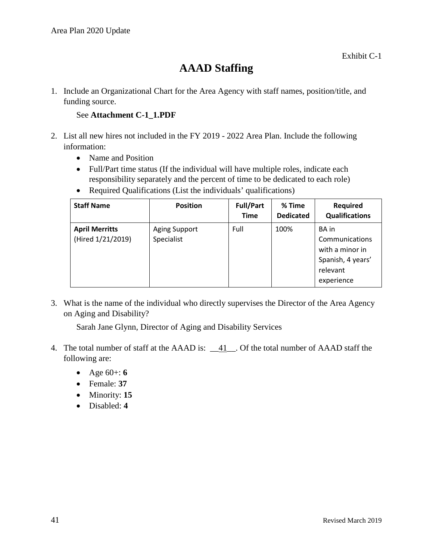# **AAAD Staffing**

1. Include an Organizational Chart for the Area Agency with staff names, position/title, and funding source.

#### See **Attachment C-1\_1.PDF**

- 2. List all new hires not included in the FY 2019 2022 Area Plan. Include the following information:
	- Name and Position
	- Full/Part time status (If the individual will have multiple roles, indicate each responsibility separately and the percent of time to be dedicated to each role)
	- Required Qualifications (List the individuals' qualifications)

| <b>Staff Name</b>                          | <b>Position</b>                    | <b>Full/Part</b><br><b>Time</b> | % Time<br><b>Dedicated</b> | <b>Required</b><br><b>Qualifications</b>                                                  |
|--------------------------------------------|------------------------------------|---------------------------------|----------------------------|-------------------------------------------------------------------------------------------|
| <b>April Merritts</b><br>(Hired 1/21/2019) | <b>Aging Support</b><br>Specialist | Full                            | 100%                       | BA in<br>Communications<br>with a minor in<br>Spanish, 4 years'<br>relevant<br>experience |

3. What is the name of the individual who directly supervises the Director of the Area Agency on Aging and Disability?

Sarah Jane Glynn, Director of Aging and Disability Services

- 4. The total number of staff at the AAAD is:  $\underline{41}$ . Of the total number of AAAD staff the following are:
	- Age 60+: **6**
	- Female: **37**
	- Minority: **15**
	- Disabled: **4**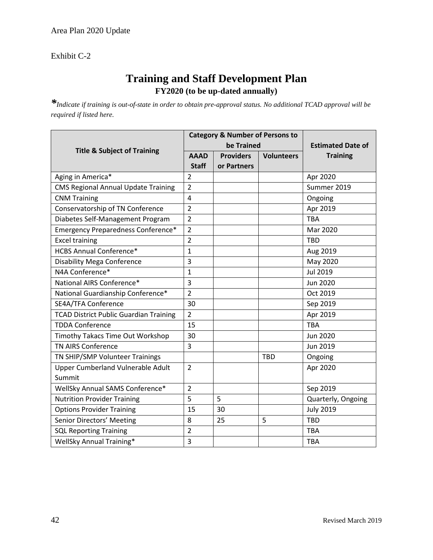Exhibit C-2

## **Training and Staff Development Plan FY2020 (to be up-dated annually)**

*\*Indicate if training is out-of-state in order to obtain pre-approval status. No additional TCAD approval will be required if listed here.*

|                                               |                | <b>Category &amp; Number of Persons to</b> |                          |                    |
|-----------------------------------------------|----------------|--------------------------------------------|--------------------------|--------------------|
| <b>Title &amp; Subject of Training</b>        |                | be Trained                                 | <b>Estimated Date of</b> |                    |
|                                               | <b>AAAD</b>    | <b>Providers</b>                           | <b>Volunteers</b>        | <b>Training</b>    |
|                                               | <b>Staff</b>   | or Partners                                |                          |                    |
| Aging in America*                             | $\overline{2}$ |                                            |                          | Apr 2020           |
| <b>CMS Regional Annual Update Training</b>    | $\overline{2}$ |                                            |                          | Summer 2019        |
| <b>CNM Training</b>                           | 4              |                                            |                          | Ongoing            |
| Conservatorship of TN Conference              | $\overline{2}$ |                                            |                          | Apr 2019           |
| Diabetes Self-Management Program              | $\overline{2}$ |                                            |                          | <b>TBA</b>         |
| Emergency Preparedness Conference*            | $\overline{2}$ |                                            |                          | Mar 2020           |
| <b>Excel training</b>                         | $\overline{2}$ |                                            |                          | <b>TBD</b>         |
| <b>HCBS Annual Conference*</b>                | 1              |                                            |                          | Aug 2019           |
| <b>Disability Mega Conference</b>             | 3              |                                            |                          | May 2020           |
| N4A Conference*                               | $\mathbf{1}$   |                                            |                          | Jul 2019           |
| National AIRS Conference*                     | 3              |                                            |                          | <b>Jun 2020</b>    |
| National Guardianship Conference*             | $\overline{2}$ |                                            |                          | Oct 2019           |
| SE4A/TFA Conference                           | 30             |                                            |                          | Sep 2019           |
| <b>TCAD District Public Guardian Training</b> | $\overline{2}$ |                                            |                          | Apr 2019           |
| <b>TDDA Conference</b>                        | 15             |                                            |                          | <b>TBA</b>         |
| Timothy Takacs Time Out Workshop              | 30             |                                            |                          | <b>Jun 2020</b>    |
| <b>TN AIRS Conference</b>                     | 3              |                                            |                          | Jun 2019           |
| TN SHIP/SMP Volunteer Trainings               |                |                                            | <b>TBD</b>               | Ongoing            |
| Upper Cumberland Vulnerable Adult             | $\overline{2}$ |                                            |                          | Apr 2020           |
| Summit                                        |                |                                            |                          |                    |
| WellSky Annual SAMS Conference*               | $\overline{2}$ |                                            |                          | Sep 2019           |
| <b>Nutrition Provider Training</b>            | 5              | 5                                          |                          | Quarterly, Ongoing |
| <b>Options Provider Training</b>              | 15             | 30                                         |                          | <b>July 2019</b>   |
| Senior Directors' Meeting                     | 8              | 25                                         | 5                        | <b>TBD</b>         |
| <b>SQL Reporting Training</b>                 | $\overline{2}$ |                                            |                          | <b>TBA</b>         |
| <b>WellSky Annual Training*</b>               | 3              |                                            |                          | <b>TBA</b>         |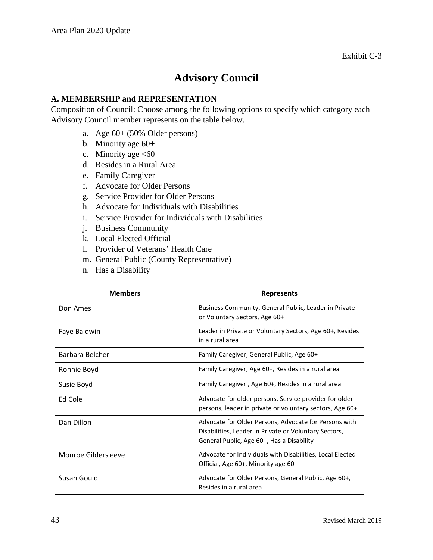## **Advisory Council**

#### **A. MEMBERSHIP and REPRESENTATION**

Composition of Council: Choose among the following options to specify which category each Advisory Council member represents on the table below.

- a. Age 60+ (50% Older persons)
- b. Minority age 60+
- c. Minority age  $\leq 60$
- d. Resides in a Rural Area
- e. Family Caregiver
- f. Advocate for Older Persons
- g. Service Provider for Older Persons
- h. Advocate for Individuals with Disabilities
- i. Service Provider for Individuals with Disabilities
- j. Business Community
- k. Local Elected Official
- l. Provider of Veterans' Health Care
- m. General Public (County Representative)
- n. Has a Disability

| <b>Members</b>      | <b>Represents</b>                                                                                                                                           |  |  |
|---------------------|-------------------------------------------------------------------------------------------------------------------------------------------------------------|--|--|
| Don Ames            | Business Community, General Public, Leader in Private<br>or Voluntary Sectors, Age 60+                                                                      |  |  |
| Faye Baldwin        | Leader in Private or Voluntary Sectors, Age 60+, Resides<br>in a rural area                                                                                 |  |  |
| Barbara Belcher     | Family Caregiver, General Public, Age 60+                                                                                                                   |  |  |
| Ronnie Boyd         | Family Caregiver, Age 60+, Resides in a rural area                                                                                                          |  |  |
| Susie Boyd          | Family Caregiver, Age 60+, Resides in a rural area                                                                                                          |  |  |
| Ed Cole             | Advocate for older persons, Service provider for older<br>persons, leader in private or voluntary sectors, Age 60+                                          |  |  |
| Dan Dillon          | Advocate for Older Persons, Advocate for Persons with<br>Disabilities, Leader in Private or Voluntary Sectors,<br>General Public, Age 60+, Has a Disability |  |  |
| Monroe Gildersleeve | Advocate for Individuals with Disabilities, Local Elected<br>Official, Age 60+, Minority age 60+                                                            |  |  |
| Susan Gould         | Advocate for Older Persons, General Public, Age 60+,<br>Resides in a rural area                                                                             |  |  |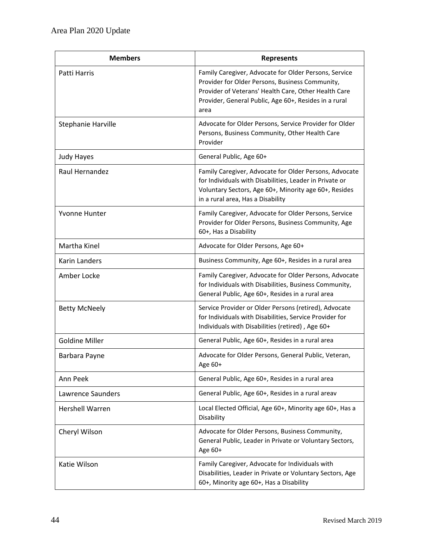| <b>Members</b>         | <b>Represents</b>                                                                                                                                                                                                                 |  |  |  |
|------------------------|-----------------------------------------------------------------------------------------------------------------------------------------------------------------------------------------------------------------------------------|--|--|--|
| Patti Harris           | Family Caregiver, Advocate for Older Persons, Service<br>Provider for Older Persons, Business Community,<br>Provider of Veterans' Health Care, Other Health Care<br>Provider, General Public, Age 60+, Resides in a rural<br>area |  |  |  |
| Stephanie Harville     | Advocate for Older Persons, Service Provider for Older<br>Persons, Business Community, Other Health Care<br>Provider                                                                                                              |  |  |  |
| <b>Judy Hayes</b>      | General Public, Age 60+                                                                                                                                                                                                           |  |  |  |
| Raul Hernandez         | Family Caregiver, Advocate for Older Persons, Advocate<br>for Individuals with Disabilities, Leader in Private or<br>Voluntary Sectors, Age 60+, Minority age 60+, Resides<br>in a rural area, Has a Disability                   |  |  |  |
| Yvonne Hunter          | Family Caregiver, Advocate for Older Persons, Service<br>Provider for Older Persons, Business Community, Age<br>60+, Has a Disability                                                                                             |  |  |  |
| Martha Kinel           | Advocate for Older Persons, Age 60+                                                                                                                                                                                               |  |  |  |
| Karin Landers          | Business Community, Age 60+, Resides in a rural area                                                                                                                                                                              |  |  |  |
| Amber Locke            | Family Caregiver, Advocate for Older Persons, Advocate<br>for Individuals with Disabilities, Business Community,<br>General Public, Age 60+, Resides in a rural area                                                              |  |  |  |
| <b>Betty McNeely</b>   | Service Provider or Older Persons (retired), Advocate<br>for Individuals with Disabilities, Service Provider for<br>Individuals with Disabilities (retired), Age 60+                                                              |  |  |  |
| <b>Goldine Miller</b>  | General Public, Age 60+, Resides in a rural area                                                                                                                                                                                  |  |  |  |
| Barbara Payne          | Advocate for Older Persons, General Public, Veteran,<br>Age 60+                                                                                                                                                                   |  |  |  |
| Ann Peek               | General Public, Age 60+, Resides in a rural area                                                                                                                                                                                  |  |  |  |
| Lawrence Saunders      | General Public, Age 60+, Resides in a rural areav                                                                                                                                                                                 |  |  |  |
| <b>Hershell Warren</b> | Local Elected Official, Age 60+, Minority age 60+, Has a<br>Disability                                                                                                                                                            |  |  |  |
| Cheryl Wilson          | Advocate for Older Persons, Business Community,<br>General Public, Leader in Private or Voluntary Sectors,<br>Age 60+                                                                                                             |  |  |  |
| Katie Wilson           | Family Caregiver, Advocate for Individuals with<br>Disabilities, Leader in Private or Voluntary Sectors, Age<br>60+, Minority age 60+, Has a Disability                                                                           |  |  |  |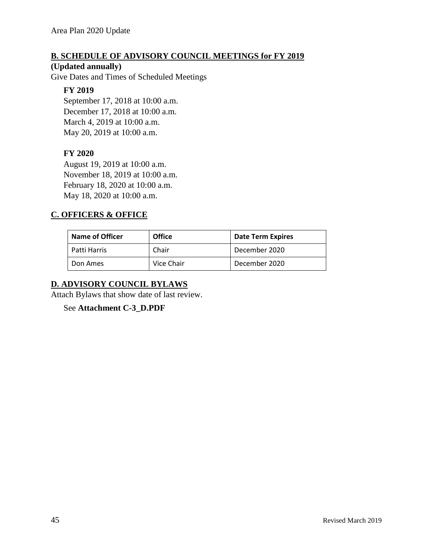#### **B. SCHEDULE OF ADVISORY COUNCIL MEETINGS for FY 2019**

#### **(Updated annually)**

Give Dates and Times of Scheduled Meetings

#### **FY 2019**

September 17, 2018 at 10:00 a.m. December 17, 2018 at 10:00 a.m. March 4, 2019 at 10:00 a.m. May 20, 2019 at 10:00 a.m.

#### **FY 2020**

August 19, 2019 at 10:00 a.m. November 18, 2019 at 10:00 a.m. February 18, 2020 at 10:00 a.m. May 18, 2020 at 10:00 a.m.

#### **C. OFFICERS & OFFICE**

| <b>Name of Officer</b> | <b>Office</b> | <b>Date Term Expires</b> |
|------------------------|---------------|--------------------------|
| Patti Harris           | Chair         | December 2020            |
| Don Ames               | Vice Chair    | December 2020            |

#### **D. ADVISORY COUNCIL BYLAWS**

Attach Bylaws that show date of last review.

See **Attachment C-3\_D.PDF**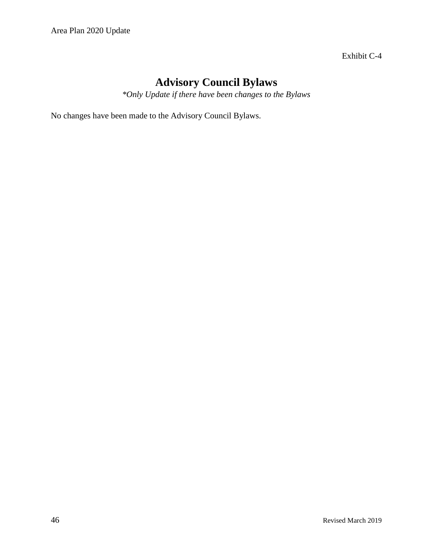Exhibit C-4

# **Advisory Council Bylaws**

*\*Only Update if there have been changes to the Bylaws*

No changes have been made to the Advisory Council Bylaws.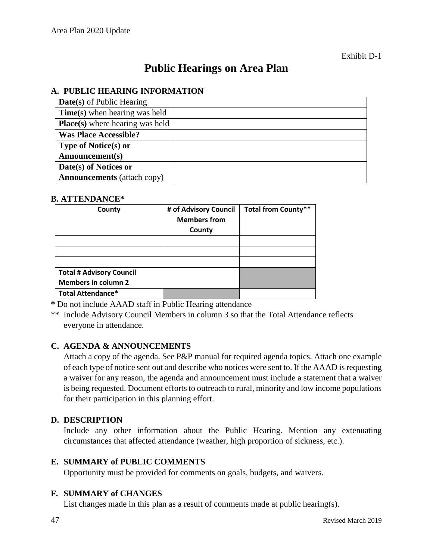# **Public Hearings on Area Plan**

#### **A. PUBLIC HEARING INFORMATION**

| <b>Date(s)</b> of Public Hearing       |  |
|----------------------------------------|--|
| <b>Time(s)</b> when hearing was held   |  |
| <b>Place(s)</b> where hearing was held |  |
| <b>Was Place Accessible?</b>           |  |
| <b>Type of Notice(s) or</b>            |  |
| Announcement(s)                        |  |
| Date(s) of Notices or                  |  |
| <b>Announcements</b> (attach copy)     |  |

#### **B. ATTENDANCE\***

| County                          | # of Advisory Council<br><b>Members from</b><br>County | <b>Total from County**</b> |
|---------------------------------|--------------------------------------------------------|----------------------------|
|                                 |                                                        |                            |
|                                 |                                                        |                            |
|                                 |                                                        |                            |
| <b>Total # Advisory Council</b> |                                                        |                            |
| <b>Members in column 2</b>      |                                                        |                            |
| <b>Total Attendance*</b>        |                                                        |                            |

**\*** Do not include AAAD staff in Public Hearing attendance

\*\* Include Advisory Council Members in column 3 so that the Total Attendance reflects everyone in attendance.

#### **C. AGENDA & ANNOUNCEMENTS**

Attach a copy of the agenda. See P&P manual for required agenda topics. Attach one example of each type of notice sent out and describe who notices were sent to. If the AAAD is requesting a waiver for any reason, the agenda and announcement must include a statement that a waiver is being requested. Document efforts to outreach to rural, minority and low income populations for their participation in this planning effort.

#### **D. DESCRIPTION**

Include any other information about the Public Hearing. Mention any extenuating circumstances that affected attendance (weather, high proportion of sickness, etc.).

#### **E. SUMMARY of PUBLIC COMMENTS**

Opportunity must be provided for comments on goals, budgets, and waivers.

#### **F. SUMMARY of CHANGES**

List changes made in this plan as a result of comments made at public hearing(s).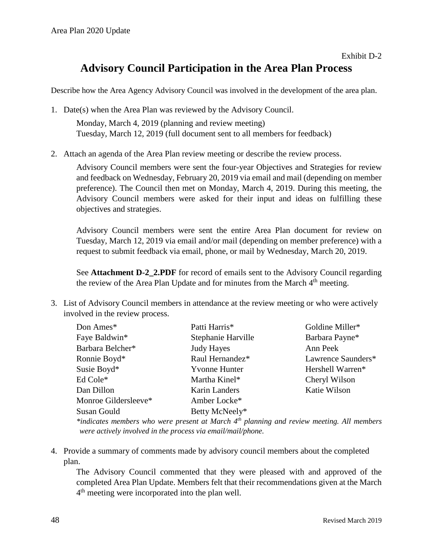## **Advisory Council Participation in the Area Plan Process**

Describe how the Area Agency Advisory Council was involved in the development of the area plan.

- 1. Date(s) when the Area Plan was reviewed by the Advisory Council. Monday, March 4, 2019 (planning and review meeting) Tuesday, March 12, 2019 (full document sent to all members for feedback)
- 2. Attach an agenda of the Area Plan review meeting or describe the review process.

Advisory Council members were sent the four-year Objectives and Strategies for review and feedback on Wednesday, February 20, 2019 via email and mail (depending on member preference). The Council then met on Monday, March 4, 2019. During this meeting, the Advisory Council members were asked for their input and ideas on fulfilling these objectives and strategies.

Advisory Council members were sent the entire Area Plan document for review on Tuesday, March 12, 2019 via email and/or mail (depending on member preference) with a request to submit feedback via email, phone, or mail by Wednesday, March 20, 2019.

See **Attachment D-2 2.PDF** for record of emails sent to the Advisory Council regarding the review of the Area Plan Update and for minutes from the March  $4<sup>th</sup>$  meeting.

3. List of Advisory Council members in attendance at the review meeting or who were actively involved in the review process.

| Don Ames*            | Patti Harris*        | Goldine Miller*    |
|----------------------|----------------------|--------------------|
| Faye Baldwin*        | Stephanie Harville   | Barbara Payne*     |
| Barbara Belcher*     | <b>Judy Hayes</b>    | Ann Peek           |
| Ronnie Boyd*         | Raul Hernandez*      | Lawrence Saunders* |
| Susie Boyd*          | <b>Yvonne Hunter</b> | Hershell Warren*   |
| Ed Cole*             | Martha Kinel*        | Cheryl Wilson      |
| Dan Dillon           | Karin Landers        | Katie Wilson       |
| Monroe Gildersleeve* | Amber Locke*         |                    |
| Susan Gould          | Betty McNeely*       |                    |
|                      |                      |                    |

*\*indicates members who were present at March 4th planning and review meeting. All members were actively involved in the process via email/mail/phone.*

4. Provide a summary of comments made by advisory council members about the completed plan.

The Advisory Council commented that they were pleased with and approved of the completed Area Plan Update. Members felt that their recommendations given at the March  $4<sup>th</sup>$  meeting were incorporated into the plan well.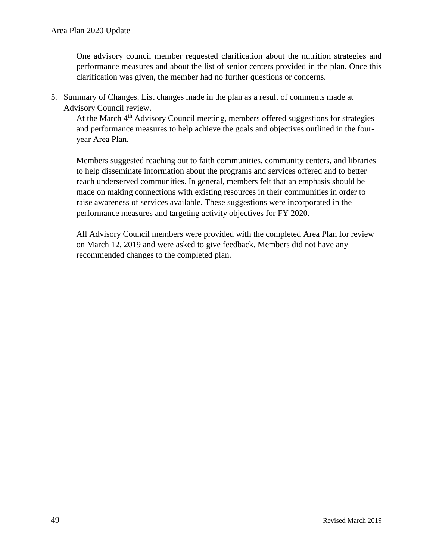One advisory council member requested clarification about the nutrition strategies and performance measures and about the list of senior centers provided in the plan. Once this clarification was given, the member had no further questions or concerns.

5. Summary of Changes. List changes made in the plan as a result of comments made at Advisory Council review.

At the March 4<sup>th</sup> Advisory Council meeting, members offered suggestions for strategies and performance measures to help achieve the goals and objectives outlined in the fouryear Area Plan.

Members suggested reaching out to faith communities, community centers, and libraries to help disseminate information about the programs and services offered and to better reach underserved communities. In general, members felt that an emphasis should be made on making connections with existing resources in their communities in order to raise awareness of services available. These suggestions were incorporated in the performance measures and targeting activity objectives for FY 2020.

All Advisory Council members were provided with the completed Area Plan for review on March 12, 2019 and were asked to give feedback. Members did not have any recommended changes to the completed plan.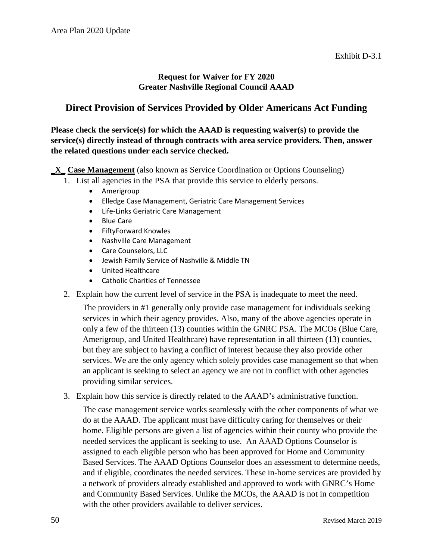#### **Request for Waiver for FY 2020 Greater Nashville Regional Council AAAD**

## **Direct Provision of Services Provided by Older Americans Act Funding**

#### **Please check the service(s) for which the AAAD is requesting waiver(s) to provide the service(s) directly instead of through contracts with area service providers. Then, answer the related questions under each service checked.**

**\_X\_ Case Management** (also known as Service Coordination or Options Counseling)

- 1. List all agencies in the PSA that provide this service to elderly persons.
	- Amerigroup
	- Elledge Case Management, Geriatric Care Management Services
	- Life-Links Geriatric Care Management
	- Blue Care
	- FiftyForward Knowles
	- Nashville Care Management
	- Care Counselors, LLC
	- Jewish Family Service of Nashville & Middle TN
	- United Healthcare
	- Catholic Charities of Tennessee
- 2. Explain how the current level of service in the PSA is inadequate to meet the need.

The providers in #1 generally only provide case management for individuals seeking services in which their agency provides. Also, many of the above agencies operate in only a few of the thirteen (13) counties within the GNRC PSA. The MCOs (Blue Care, Amerigroup, and United Healthcare) have representation in all thirteen (13) counties, but they are subject to having a conflict of interest because they also provide other services. We are the only agency which solely provides case management so that when an applicant is seeking to select an agency we are not in conflict with other agencies providing similar services.

3. Explain how this service is directly related to the AAAD's administrative function.

The case management service works seamlessly with the other components of what we do at the AAAD. The applicant must have difficulty caring for themselves or their home. Eligible persons are given a list of agencies within their county who provide the needed services the applicant is seeking to use. An AAAD Options Counselor is assigned to each eligible person who has been approved for Home and Community Based Services. The AAAD Options Counselor does an assessment to determine needs, and if eligible, coordinates the needed services. These in-home services are provided by a network of providers already established and approved to work with GNRC's Home and Community Based Services. Unlike the MCOs, the AAAD is not in competition with the other providers available to deliver services.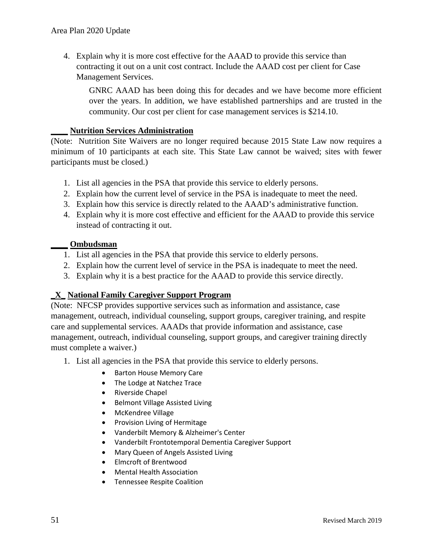4. Explain why it is more cost effective for the AAAD to provide this service than contracting it out on a unit cost contract. Include the AAAD cost per client for Case Management Services.

GNRC AAAD has been doing this for decades and we have become more efficient over the years. In addition, we have established partnerships and are trusted in the community. Our cost per client for case management services is \$214.10.

#### **\_\_\_\_ Nutrition Services Administration**

(Note: Nutrition Site Waivers are no longer required because 2015 State Law now requires a minimum of 10 participants at each site. This State Law cannot be waived; sites with fewer participants must be closed.)

- 1. List all agencies in the PSA that provide this service to elderly persons.
- 2. Explain how the current level of service in the PSA is inadequate to meet the need.
- 3. Explain how this service is directly related to the AAAD's administrative function.
- 4. Explain why it is more cost effective and efficient for the AAAD to provide this service instead of contracting it out.

#### **\_\_\_\_ Ombudsman**

- 1. List all agencies in the PSA that provide this service to elderly persons.
- 2. Explain how the current level of service in the PSA is inadequate to meet the need.
- 3. Explain why it is a best practice for the AAAD to provide this service directly.

#### **\_X\_ National Family Caregiver Support Program**

(Note: NFCSP provides supportive services such as information and assistance, case management, outreach, individual counseling, support groups, caregiver training, and respite care and supplemental services. AAADs that provide information and assistance, case management, outreach, individual counseling, support groups, and caregiver training directly must complete a waiver.)

- 1. List all agencies in the PSA that provide this service to elderly persons.
	- Barton House Memory Care
	- The Lodge at Natchez Trace
	- Riverside Chapel
	- Belmont Village Assisted Living
	- McKendree Village
	- Provision Living of Hermitage
	- Vanderbilt Memory & Alzheimer's Center
	- Vanderbilt Frontotemporal Dementia Caregiver Support
	- Mary Queen of Angels Assisted Living
	- Elmcroft of Brentwood
	- Mental Health Association
	- Tennessee Respite Coalition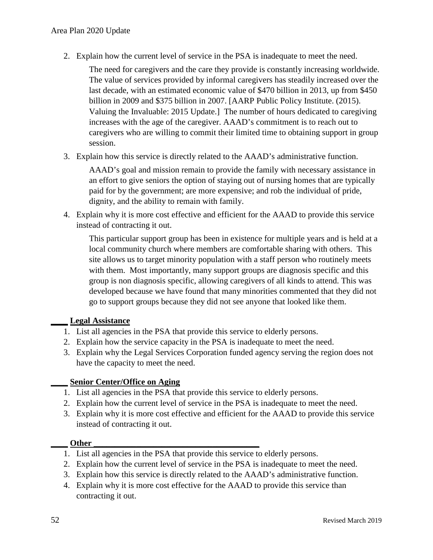2. Explain how the current level of service in the PSA is inadequate to meet the need.

The need for caregivers and the care they provide is constantly increasing worldwide. The value of services provided by informal caregivers has steadily increased over the last decade, with an estimated economic value of \$470 billion in 2013, up from \$450 billion in 2009 and \$375 billion in 2007. [AARP Public Policy Institute. (2015). Valuing the Invaluable: 2015 Update.] The number of hours dedicated to caregiving increases with the age of the caregiver. AAAD's commitment is to reach out to caregivers who are willing to commit their limited time to obtaining support in group session.

3. Explain how this service is directly related to the AAAD's administrative function.

AAAD's goal and mission remain to provide the family with necessary assistance in an effort to give seniors the option of staying out of nursing homes that are typically paid for by the government; are more expensive; and rob the individual of pride, dignity, and the ability to remain with family.

4. Explain why it is more cost effective and efficient for the AAAD to provide this service instead of contracting it out.

This particular support group has been in existence for multiple years and is held at a local community church where members are comfortable sharing with others. This site allows us to target minority population with a staff person who routinely meets with them. Most importantly, many support groups are diagnosis specific and this group is non diagnosis specific, allowing caregivers of all kinds to attend. This was developed because we have found that many minorities commented that they did not go to support groups because they did not see anyone that looked like them.

#### **\_\_\_\_ Legal Assistance**

- 1. List all agencies in the PSA that provide this service to elderly persons.
- 2. Explain how the service capacity in the PSA is inadequate to meet the need.
- 3. Explain why the Legal Services Corporation funded agency serving the region does not have the capacity to meet the need.

#### **\_\_\_\_ Senior Center/Office on Aging**

- 1. List all agencies in the PSA that provide this service to elderly persons.
- 2. Explain how the current level of service in the PSA is inadequate to meet the need.
- 3. Explain why it is more cost effective and efficient for the AAAD to provide this service instead of contracting it out.

#### $Other$

- 1. List all agencies in the PSA that provide this service to elderly persons.
- 2. Explain how the current level of service in the PSA is inadequate to meet the need.
- 3. Explain how this service is directly related to the AAAD's administrative function.
- 4. Explain why it is more cost effective for the AAAD to provide this service than contracting it out.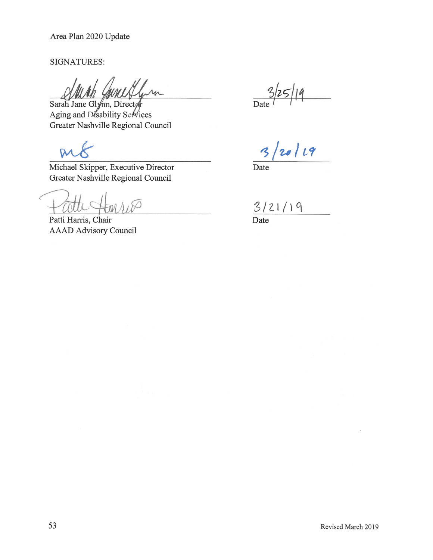**SIGNATURES:** 

Sarah Jane Glynn, Directø Aging and Disability Services Greater Nashville Regional Council

 $\overline{D}$ 

Michael Skipper, Executive Director Greater Nashville Regional Council

 $\Lambda_1$ 80

Patti Harris, Chair **AAAD Advisory Council** 

 $\overline{Date}$ 

20/19  $31$ 

Date

 $\frac{3/21/19}{\text{Date}}$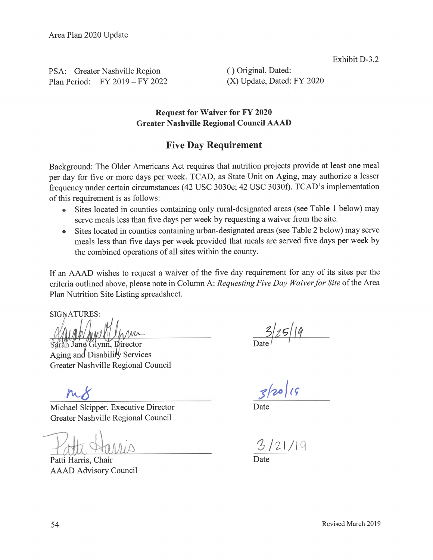PSA: Greater Nashville Region Plan Period: FY 2019 - FY 2022 () Original, Dated: (X) Update, Dated: FY 2020

#### **Request for Waiver for FY 2020 Greater Nashville Regional Council AAAD**

## **Five Day Requirement**

Background: The Older Americans Act requires that nutrition projects provide at least one meal per day for five or more days per week. TCAD, as State Unit on Aging, may authorize a lesser frequency under certain circumstances (42 USC 3030e; 42 USC 3030f). TCAD's implementation of this requirement is as follows:

- Sites located in counties containing only rural-designated areas (see Table 1 below) may serve meals less than five days per week by requesting a waiver from the site.
- Sites located in counties containing urban-designated areas (see Table 2 below) may serve meals less than five days per week provided that meals are served five days per week by the combined operations of all sites within the county.

If an AAAD wishes to request a waiver of the five day requirement for any of its sites per the criteria outlined above, please note in Column A: Requesting Five Day Waiver for Site of the Area Plan Nutrition Site Listing spreadsheet.

**SIGNATURES:** 

ah Jane Glynn, Luirector

Aging and Disability Services Greater Nashville Regional Council

Michael Skipper, Executive Director Greater Nashville Regional Council

Patti Harris, Chair **AAAD Advisory Council** 

 $3|25| |9$ 

Date

 $3/21/19$ 

Date